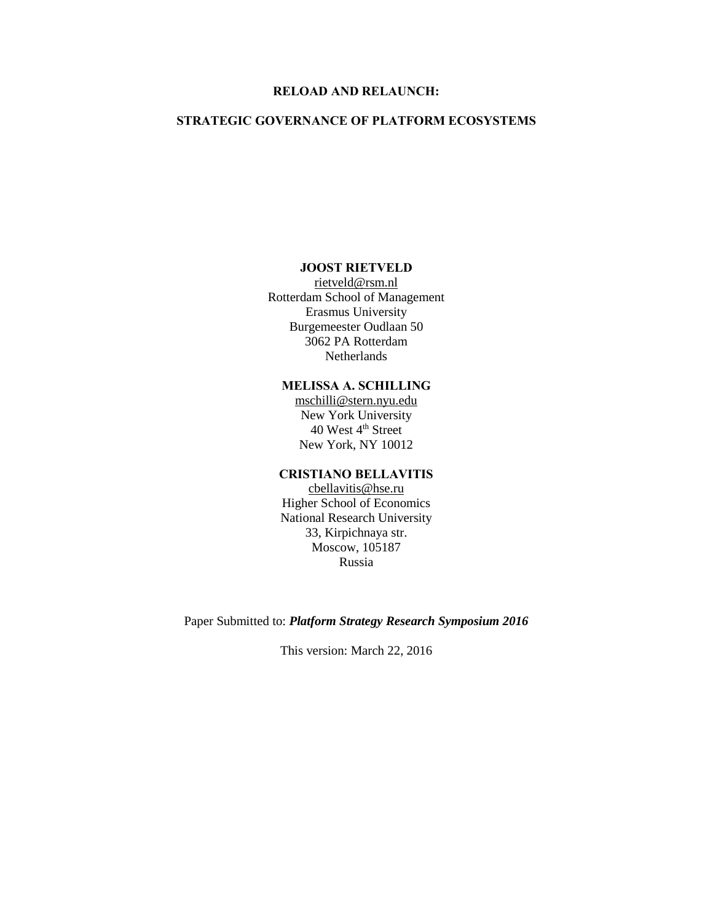### **RELOAD AND RELAUNCH:**

### **STRATEGIC GOVERNANCE OF PLATFORM ECOSYSTEMS**

#### **JOOST RIETVELD**

[rietveld@rsm.nl](mailto:rietveld@rsm.nl) Rotterdam School of Management Erasmus University Burgemeester Oudlaan 50 3062 PA Rotterdam Netherlands

## **MELISSA A. SCHILLING**

[mschilli@stern.nyu.edu](mailto:mschilli@stern.nyu.edu) New York University 40 West 4<sup>th</sup> Street New York, NY 10012

### **CRISTIANO BELLAVITIS**

[cbellavitis@hse.ru](mailto:cbellavitis@hse.ru) Higher School of Economics National Research University 33, Kirpichnaya str. Moscow, 105187 Russia

Paper Submitted to: *Platform Strategy Research Symposium 2016*

This version: March 22, 2016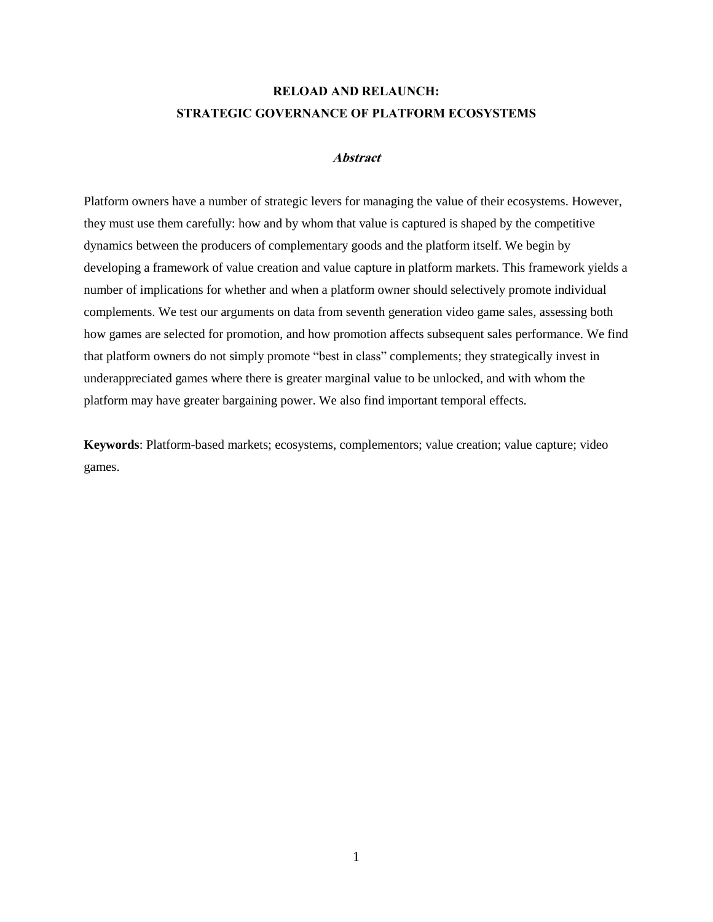# **RELOAD AND RELAUNCH: STRATEGIC GOVERNANCE OF PLATFORM ECOSYSTEMS**

### **Abstract**

Platform owners have a number of strategic levers for managing the value of their ecosystems. However, they must use them carefully: how and by whom that value is captured is shaped by the competitive dynamics between the producers of complementary goods and the platform itself. We begin by developing a framework of value creation and value capture in platform markets. This framework yields a number of implications for whether and when a platform owner should selectively promote individual complements. We test our arguments on data from seventh generation video game sales, assessing both how games are selected for promotion, and how promotion affects subsequent sales performance. We find that platform owners do not simply promote "best in class" complements; they strategically invest in underappreciated games where there is greater marginal value to be unlocked, and with whom the platform may have greater bargaining power. We also find important temporal effects.

**Keywords**: Platform-based markets; ecosystems, complementors; value creation; value capture; video games.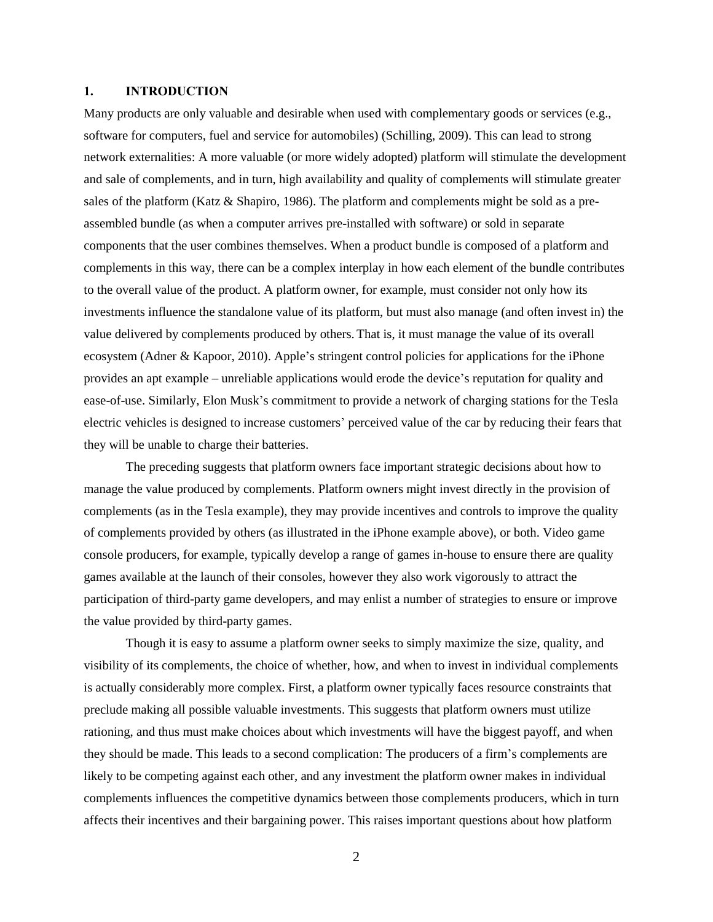#### **1. INTRODUCTION**

Many products are only valuable and desirable when used with complementary goods or services (e.g., software for computers, fuel and service for automobiles) (Schilling, 2009). This can lead to strong network externalities: A more valuable (or more widely adopted) platform will stimulate the development and sale of complements, and in turn, high availability and quality of complements will stimulate greater sales of the platform (Katz & Shapiro, 1986). The platform and complements might be sold as a preassembled bundle (as when a computer arrives pre-installed with software) or sold in separate components that the user combines themselves. When a product bundle is composed of a platform and complements in this way, there can be a complex interplay in how each element of the bundle contributes to the overall value of the product. A platform owner, for example, must consider not only how its investments influence the standalone value of its platform, but must also manage (and often invest in) the value delivered by complements produced by others. That is, it must manage the value of its overall ecosystem (Adner & Kapoor, 2010). Apple's stringent control policies for applications for the iPhone provides an apt example – unreliable applications would erode the device's reputation for quality and ease-of-use. Similarly, Elon Musk's commitment to provide a network of charging stations for the Tesla electric vehicles is designed to increase customers' perceived value of the car by reducing their fears that they will be unable to charge their batteries.

The preceding suggests that platform owners face important strategic decisions about how to manage the value produced by complements. Platform owners might invest directly in the provision of complements (as in the Tesla example), they may provide incentives and controls to improve the quality of complements provided by others (as illustrated in the iPhone example above), or both. Video game console producers, for example, typically develop a range of games in-house to ensure there are quality games available at the launch of their consoles, however they also work vigorously to attract the participation of third-party game developers, and may enlist a number of strategies to ensure or improve the value provided by third-party games.

Though it is easy to assume a platform owner seeks to simply maximize the size, quality, and visibility of its complements, the choice of whether, how, and when to invest in individual complements is actually considerably more complex. First, a platform owner typically faces resource constraints that preclude making all possible valuable investments. This suggests that platform owners must utilize rationing, and thus must make choices about which investments will have the biggest payoff, and when they should be made. This leads to a second complication: The producers of a firm's complements are likely to be competing against each other, and any investment the platform owner makes in individual complements influences the competitive dynamics between those complements producers, which in turn affects their incentives and their bargaining power. This raises important questions about how platform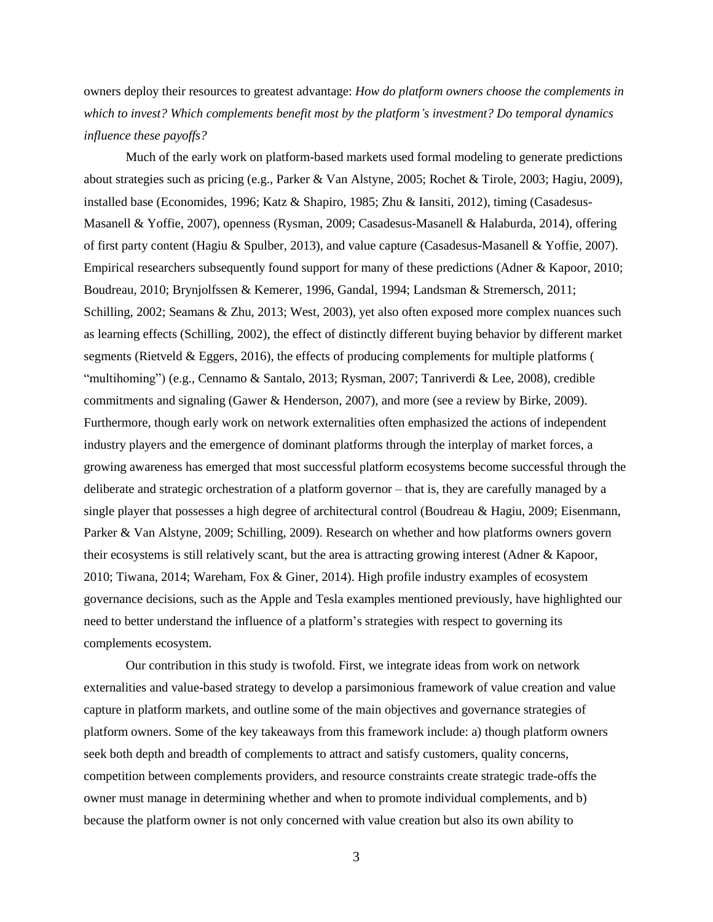owners deploy their resources to greatest advantage: *How do platform owners choose the complements in which to invest? Which complements benefit most by the platform's investment? Do temporal dynamics influence these payoffs?*

Much of the early work on platform-based markets used formal modeling to generate predictions about strategies such as pricing (e.g., Parker & Van Alstyne, 2005; Rochet & Tirole, 2003; Hagiu, 2009), installed base (Economides, 1996; Katz & Shapiro, 1985; Zhu & Iansiti, 2012), timing (Casadesus-Masanell & Yoffie, 2007), openness (Rysman, 2009; Casadesus-Masanell & Halaburda, 2014), offering of first party content (Hagiu & Spulber, 2013), and value capture (Casadesus-Masanell & Yoffie, 2007). Empirical researchers subsequently found support for many of these predictions (Adner & Kapoor, 2010; Boudreau, 2010; Brynjolfssen & Kemerer, 1996, Gandal, 1994; Landsman & Stremersch, 2011; Schilling, 2002; Seamans & Zhu, 2013; West, 2003), yet also often exposed more complex nuances such as learning effects (Schilling, 2002), the effect of distinctly different buying behavior by different market segments (Rietveld & Eggers, 2016), the effects of producing complements for multiple platforms ( "multihoming") (e.g., Cennamo & Santalo, 2013; Rysman, 2007; Tanriverdi & Lee, 2008), credible commitments and signaling (Gawer & Henderson, 2007), and more (see a review by Birke, 2009). Furthermore, though early work on network externalities often emphasized the actions of independent industry players and the emergence of dominant platforms through the interplay of market forces, a growing awareness has emerged that most successful platform ecosystems become successful through the deliberate and strategic orchestration of a platform governor – that is, they are carefully managed by a single player that possesses a high degree of architectural control (Boudreau & Hagiu, 2009; Eisenmann, Parker & Van Alstyne, 2009; Schilling, 2009). Research on whether and how platforms owners govern their ecosystems is still relatively scant, but the area is attracting growing interest (Adner & Kapoor, 2010; Tiwana, 2014; Wareham, Fox & Giner, 2014). High profile industry examples of ecosystem governance decisions, such as the Apple and Tesla examples mentioned previously, have highlighted our need to better understand the influence of a platform's strategies with respect to governing its complements ecosystem.

Our contribution in this study is twofold. First, we integrate ideas from work on network externalities and value-based strategy to develop a parsimonious framework of value creation and value capture in platform markets, and outline some of the main objectives and governance strategies of platform owners. Some of the key takeaways from this framework include: a) though platform owners seek both depth and breadth of complements to attract and satisfy customers, quality concerns, competition between complements providers, and resource constraints create strategic trade-offs the owner must manage in determining whether and when to promote individual complements, and b) because the platform owner is not only concerned with value creation but also its own ability to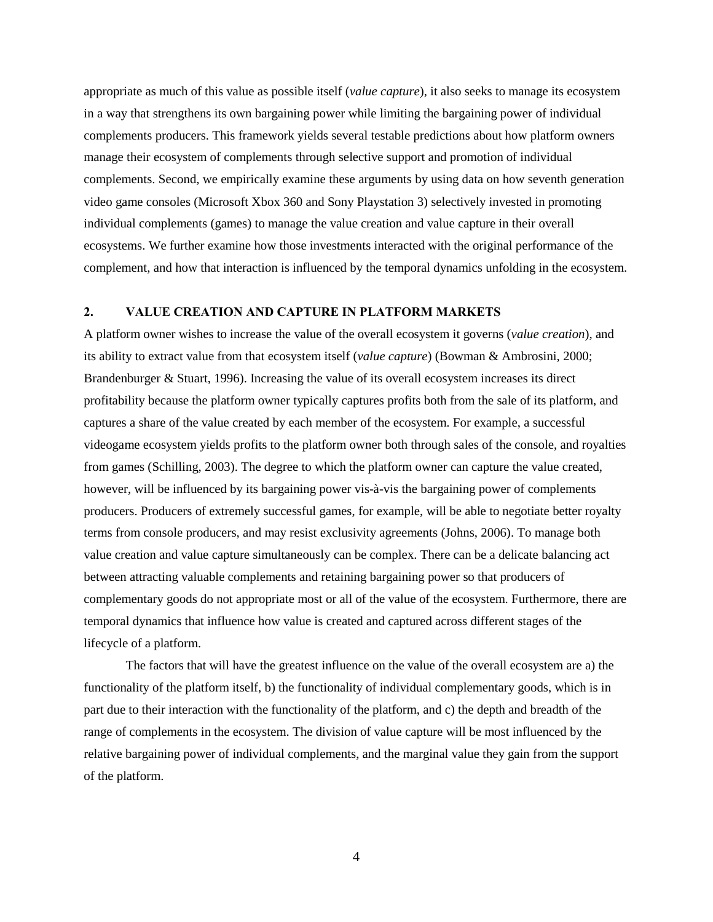appropriate as much of this value as possible itself (*value capture*), it also seeks to manage its ecosystem in a way that strengthens its own bargaining power while limiting the bargaining power of individual complements producers. This framework yields several testable predictions about how platform owners manage their ecosystem of complements through selective support and promotion of individual complements. Second, we empirically examine these arguments by using data on how seventh generation video game consoles (Microsoft Xbox 360 and Sony Playstation 3) selectively invested in promoting individual complements (games) to manage the value creation and value capture in their overall ecosystems. We further examine how those investments interacted with the original performance of the complement, and how that interaction is influenced by the temporal dynamics unfolding in the ecosystem.

#### **2. VALUE CREATION AND CAPTURE IN PLATFORM MARKETS**

A platform owner wishes to increase the value of the overall ecosystem it governs (*value creation*), and its ability to extract value from that ecosystem itself (*value capture*) (Bowman & Ambrosini, 2000; Brandenburger & Stuart, 1996). Increasing the value of its overall ecosystem increases its direct profitability because the platform owner typically captures profits both from the sale of its platform, and captures a share of the value created by each member of the ecosystem. For example, a successful videogame ecosystem yields profits to the platform owner both through sales of the console, and royalties from games (Schilling, 2003). The degree to which the platform owner can capture the value created, however, will be influenced by its bargaining power vis-à-vis the bargaining power of complements producers. Producers of extremely successful games, for example, will be able to negotiate better royalty terms from console producers, and may resist exclusivity agreements (Johns, 2006). To manage both value creation and value capture simultaneously can be complex. There can be a delicate balancing act between attracting valuable complements and retaining bargaining power so that producers of complementary goods do not appropriate most or all of the value of the ecosystem. Furthermore, there are temporal dynamics that influence how value is created and captured across different stages of the lifecycle of a platform.

The factors that will have the greatest influence on the value of the overall ecosystem are a) the functionality of the platform itself, b) the functionality of individual complementary goods, which is in part due to their interaction with the functionality of the platform, and c) the depth and breadth of the range of complements in the ecosystem. The division of value capture will be most influenced by the relative bargaining power of individual complements, and the marginal value they gain from the support of the platform.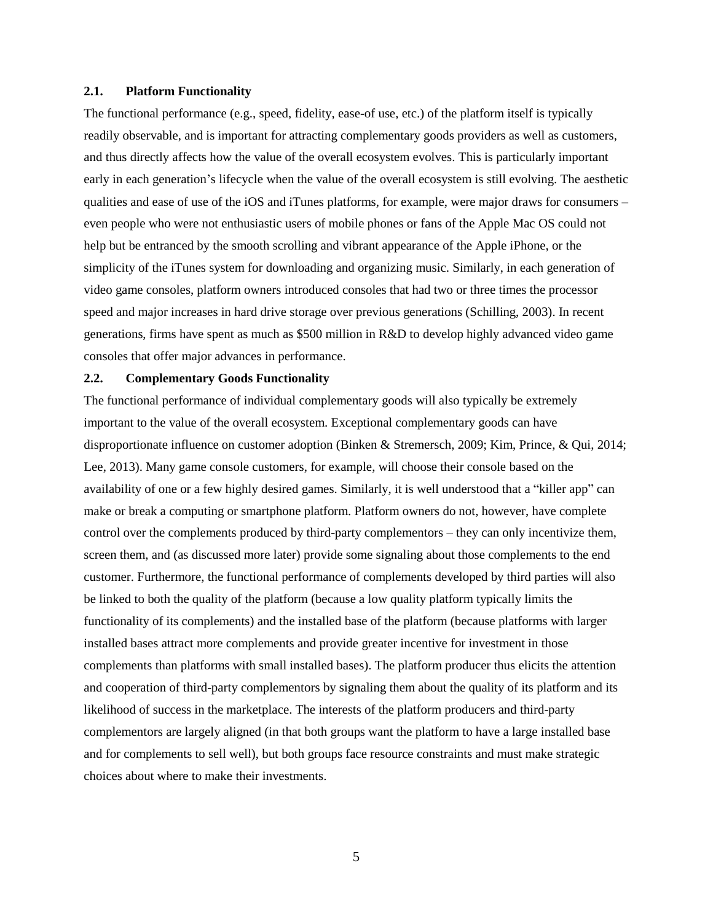#### **2.1. Platform Functionality**

The functional performance (e.g., speed, fidelity, ease-of use, etc.) of the platform itself is typically readily observable, and is important for attracting complementary goods providers as well as customers, and thus directly affects how the value of the overall ecosystem evolves. This is particularly important early in each generation's lifecycle when the value of the overall ecosystem is still evolving. The aesthetic qualities and ease of use of the iOS and iTunes platforms, for example, were major draws for consumers – even people who were not enthusiastic users of mobile phones or fans of the Apple Mac OS could not help but be entranced by the smooth scrolling and vibrant appearance of the Apple iPhone, or the simplicity of the iTunes system for downloading and organizing music. Similarly, in each generation of video game consoles, platform owners introduced consoles that had two or three times the processor speed and major increases in hard drive storage over previous generations (Schilling, 2003). In recent generations, firms have spent as much as \$500 million in R&D to develop highly advanced video game consoles that offer major advances in performance.

#### **2.2. Complementary Goods Functionality**

The functional performance of individual complementary goods will also typically be extremely important to the value of the overall ecosystem. Exceptional complementary goods can have disproportionate influence on customer adoption (Binken & Stremersch, 2009; Kim, Prince, & Qui, 2014; Lee, 2013). Many game console customers, for example, will choose their console based on the availability of one or a few highly desired games. Similarly, it is well understood that a "killer app" can make or break a computing or smartphone platform. Platform owners do not, however, have complete control over the complements produced by third-party complementors – they can only incentivize them, screen them, and (as discussed more later) provide some signaling about those complements to the end customer. Furthermore, the functional performance of complements developed by third parties will also be linked to both the quality of the platform (because a low quality platform typically limits the functionality of its complements) and the installed base of the platform (because platforms with larger installed bases attract more complements and provide greater incentive for investment in those complements than platforms with small installed bases). The platform producer thus elicits the attention and cooperation of third-party complementors by signaling them about the quality of its platform and its likelihood of success in the marketplace. The interests of the platform producers and third-party complementors are largely aligned (in that both groups want the platform to have a large installed base and for complements to sell well), but both groups face resource constraints and must make strategic choices about where to make their investments.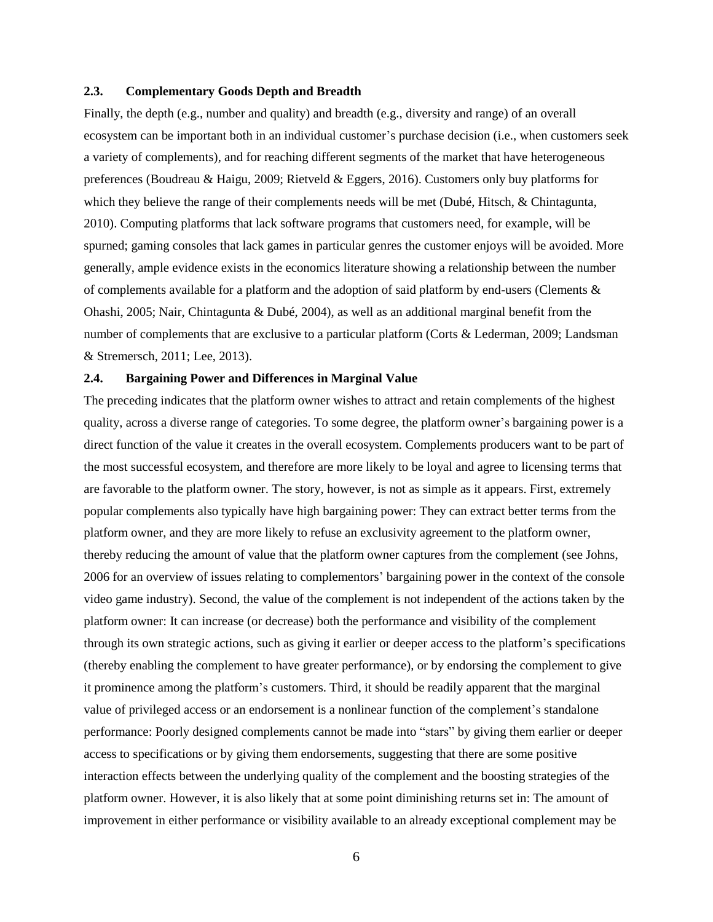#### **2.3. Complementary Goods Depth and Breadth**

Finally, the depth (e.g., number and quality) and breadth (e.g., diversity and range) of an overall ecosystem can be important both in an individual customer's purchase decision (i.e., when customers seek a variety of complements), and for reaching different segments of the market that have heterogeneous preferences (Boudreau & Haigu, 2009; Rietveld & Eggers, 2016). Customers only buy platforms for which they believe the range of their complements needs will be met (Dubé, Hitsch, & Chintagunta, 2010). Computing platforms that lack software programs that customers need, for example, will be spurned; gaming consoles that lack games in particular genres the customer enjoys will be avoided. More generally, ample evidence exists in the economics literature showing a relationship between the number of complements available for a platform and the adoption of said platform by end-users (Clements  $\&$ Ohashi, 2005; Nair, Chintagunta & Dubé, 2004), as well as an additional marginal benefit from the number of complements that are exclusive to a particular platform (Corts & Lederman, 2009; Landsman & Stremersch, 2011; Lee, 2013).

#### **2.4. Bargaining Power and Differences in Marginal Value**

The preceding indicates that the platform owner wishes to attract and retain complements of the highest quality, across a diverse range of categories. To some degree, the platform owner's bargaining power is a direct function of the value it creates in the overall ecosystem. Complements producers want to be part of the most successful ecosystem, and therefore are more likely to be loyal and agree to licensing terms that are favorable to the platform owner. The story, however, is not as simple as it appears. First, extremely popular complements also typically have high bargaining power: They can extract better terms from the platform owner, and they are more likely to refuse an exclusivity agreement to the platform owner, thereby reducing the amount of value that the platform owner captures from the complement (see Johns, 2006 for an overview of issues relating to complementors' bargaining power in the context of the console video game industry). Second, the value of the complement is not independent of the actions taken by the platform owner: It can increase (or decrease) both the performance and visibility of the complement through its own strategic actions, such as giving it earlier or deeper access to the platform's specifications (thereby enabling the complement to have greater performance), or by endorsing the complement to give it prominence among the platform's customers. Third, it should be readily apparent that the marginal value of privileged access or an endorsement is a nonlinear function of the complement's standalone performance: Poorly designed complements cannot be made into "stars" by giving them earlier or deeper access to specifications or by giving them endorsements, suggesting that there are some positive interaction effects between the underlying quality of the complement and the boosting strategies of the platform owner. However, it is also likely that at some point diminishing returns set in: The amount of improvement in either performance or visibility available to an already exceptional complement may be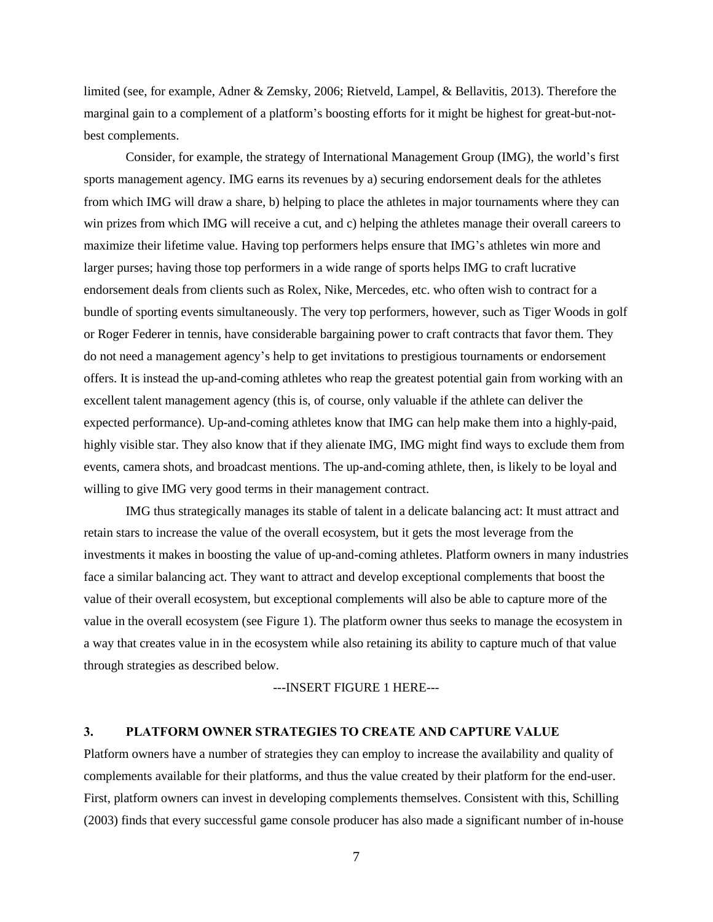limited (see, for example, Adner & Zemsky, 2006; Rietveld, Lampel, & Bellavitis, 2013). Therefore the marginal gain to a complement of a platform's boosting efforts for it might be highest for great-but-notbest complements.

Consider, for example, the strategy of International Management Group (IMG), the world's first sports management agency. IMG earns its revenues by a) securing endorsement deals for the athletes from which IMG will draw a share, b) helping to place the athletes in major tournaments where they can win prizes from which IMG will receive a cut, and c) helping the athletes manage their overall careers to maximize their lifetime value. Having top performers helps ensure that IMG's athletes win more and larger purses; having those top performers in a wide range of sports helps IMG to craft lucrative endorsement deals from clients such as Rolex, Nike, Mercedes, etc. who often wish to contract for a bundle of sporting events simultaneously. The very top performers, however, such as Tiger Woods in golf or Roger Federer in tennis, have considerable bargaining power to craft contracts that favor them. They do not need a management agency's help to get invitations to prestigious tournaments or endorsement offers. It is instead the up-and-coming athletes who reap the greatest potential gain from working with an excellent talent management agency (this is, of course, only valuable if the athlete can deliver the expected performance). Up-and-coming athletes know that IMG can help make them into a highly-paid, highly visible star. They also know that if they alienate IMG, IMG might find ways to exclude them from events, camera shots, and broadcast mentions. The up-and-coming athlete, then, is likely to be loyal and willing to give IMG very good terms in their management contract.

IMG thus strategically manages its stable of talent in a delicate balancing act: It must attract and retain stars to increase the value of the overall ecosystem, but it gets the most leverage from the investments it makes in boosting the value of up-and-coming athletes. Platform owners in many industries face a similar balancing act. They want to attract and develop exceptional complements that boost the value of their overall ecosystem, but exceptional complements will also be able to capture more of the value in the overall ecosystem (see Figure 1). The platform owner thus seeks to manage the ecosystem in a way that creates value in in the ecosystem while also retaining its ability to capture much of that value through strategies as described below.

---INSERT FIGURE 1 HERE---

### **3. PLATFORM OWNER STRATEGIES TO CREATE AND CAPTURE VALUE**

Platform owners have a number of strategies they can employ to increase the availability and quality of complements available for their platforms, and thus the value created by their platform for the end-user. First, platform owners can invest in developing complements themselves. Consistent with this, Schilling (2003) finds that every successful game console producer has also made a significant number of in-house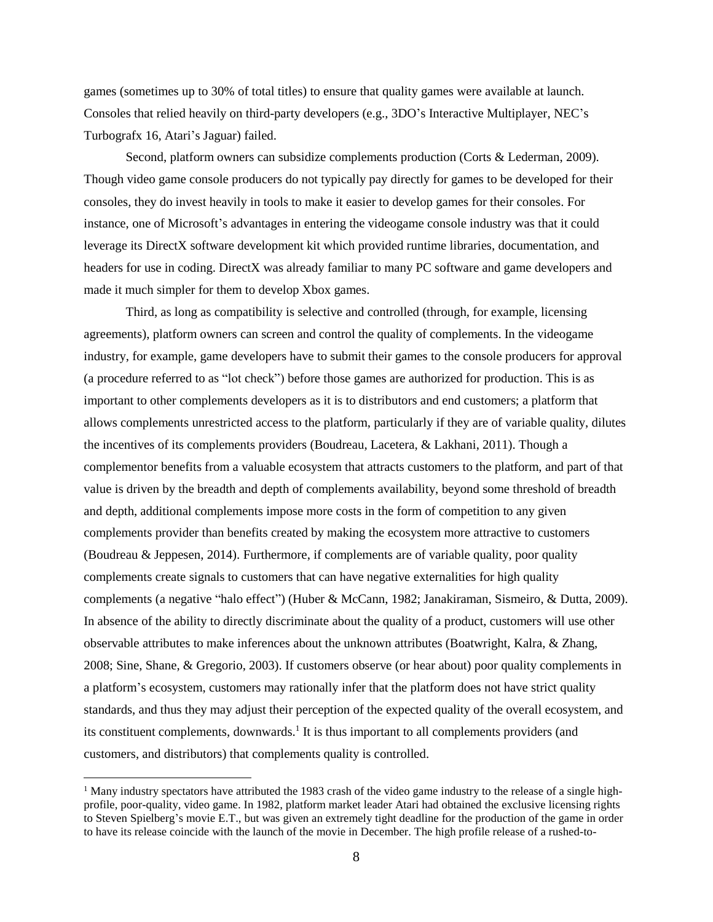games (sometimes up to 30% of total titles) to ensure that quality games were available at launch. Consoles that relied heavily on third-party developers (e.g., 3DO's Interactive Multiplayer, NEC's Turbografx 16, Atari's Jaguar) failed.

Second, platform owners can subsidize complements production (Corts & Lederman, 2009). Though video game console producers do not typically pay directly for games to be developed for their consoles, they do invest heavily in tools to make it easier to develop games for their consoles. For instance, one of Microsoft's advantages in entering the videogame console industry was that it could leverage its DirectX software development kit which provided runtime libraries, documentation, and headers for use in coding. DirectX was already familiar to many PC software and game developers and made it much simpler for them to develop Xbox games.

Third, as long as compatibility is selective and controlled (through, for example, licensing agreements), platform owners can screen and control the quality of complements. In the videogame industry, for example, game developers have to submit their games to the console producers for approval (a procedure referred to as "lot check") before those games are authorized for production. This is as important to other complements developers as it is to distributors and end customers; a platform that allows complements unrestricted access to the platform, particularly if they are of variable quality, dilutes the incentives of its complements providers (Boudreau, Lacetera, & Lakhani, 2011). Though a complementor benefits from a valuable ecosystem that attracts customers to the platform, and part of that value is driven by the breadth and depth of complements availability, beyond some threshold of breadth and depth, additional complements impose more costs in the form of competition to any given complements provider than benefits created by making the ecosystem more attractive to customers (Boudreau & Jeppesen, 2014). Furthermore, if complements are of variable quality, poor quality complements create signals to customers that can have negative externalities for high quality complements (a negative "halo effect") (Huber & McCann, 1982; Janakiraman, Sismeiro, & Dutta, 2009). In absence of the ability to directly discriminate about the quality of a product, customers will use other observable attributes to make inferences about the unknown attributes (Boatwright, Kalra, & Zhang, 2008; Sine, Shane, & Gregorio, 2003). If customers observe (or hear about) poor quality complements in a platform's ecosystem, customers may rationally infer that the platform does not have strict quality standards, and thus they may adjust their perception of the expected quality of the overall ecosystem, and its constituent complements, downwards.<sup>1</sup> It is thus important to all complements providers (and customers, and distributors) that complements quality is controlled.

 $\overline{a}$ 

<sup>&</sup>lt;sup>1</sup> Many industry spectators have attributed the 1983 crash of the video game industry to the release of a single highprofile, poor-quality, video game. In 1982, platform market leader Atari had obtained the exclusive licensing rights to Steven Spielberg's movie E.T., but was given an extremely tight deadline for the production of the game in order to have its release coincide with the launch of the movie in December. The high profile release of a rushed-to-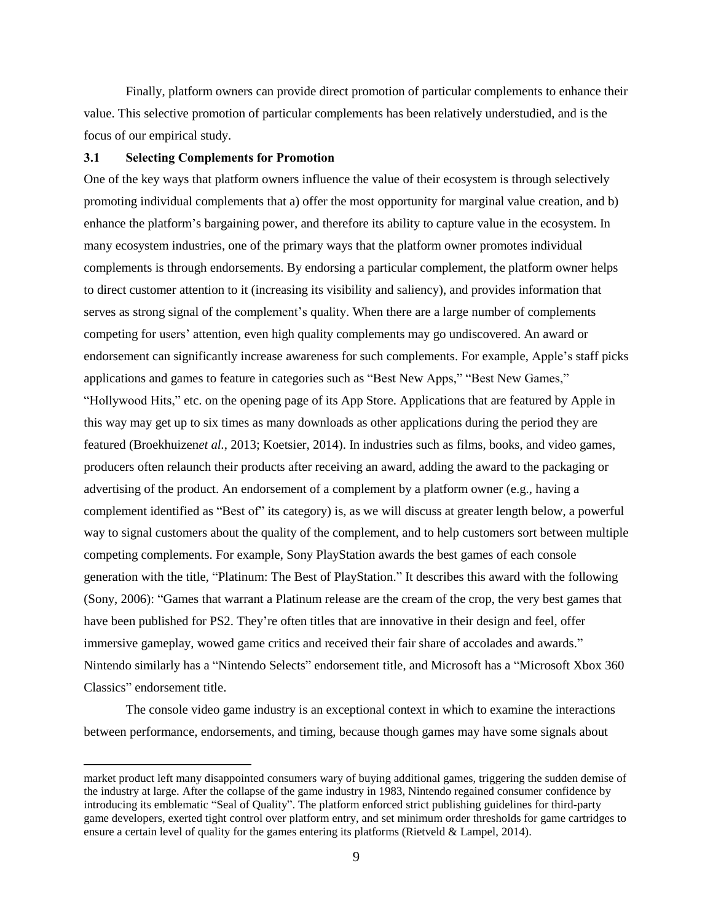Finally, platform owners can provide direct promotion of particular complements to enhance their value. This selective promotion of particular complements has been relatively understudied, and is the focus of our empirical study.

#### **3.1 Selecting Complements for Promotion**

 $\overline{a}$ 

One of the key ways that platform owners influence the value of their ecosystem is through selectively promoting individual complements that a) offer the most opportunity for marginal value creation, and b) enhance the platform's bargaining power, and therefore its ability to capture value in the ecosystem. In many ecosystem industries, one of the primary ways that the platform owner promotes individual complements is through endorsements. By endorsing a particular complement, the platform owner helps to direct customer attention to it (increasing its visibility and saliency), and provides information that serves as strong signal of the complement's quality. When there are a large number of complements competing for users' attention, even high quality complements may go undiscovered. An award or endorsement can significantly increase awareness for such complements. For example, Apple's staff picks applications and games to feature in categories such as "Best New Apps," "Best New Games," "Hollywood Hits," etc. on the opening page of its App Store. Applications that are featured by Apple in this way may get up to six times as many downloads as other applications during the period they are featured (Broekhuizen*et al.*, 2013; Koetsier, 2014). In industries such as films, books, and video games, producers often relaunch their products after receiving an award, adding the award to the packaging or advertising of the product. An endorsement of a complement by a platform owner (e.g., having a complement identified as "Best of" its category) is, as we will discuss at greater length below, a powerful way to signal customers about the quality of the complement, and to help customers sort between multiple competing complements. For example, Sony PlayStation awards the best games of each console generation with the title, "Platinum: The Best of PlayStation." It describes this award with the following (Sony, 2006): "Games that warrant a Platinum release are the cream of the crop, the very best games that have been published for PS2. They're often titles that are innovative in their design and feel, offer immersive gameplay, wowed game critics and received their fair share of accolades and awards." Nintendo similarly has a "Nintendo Selects" endorsement title, and Microsoft has a "Microsoft Xbox 360 Classics" endorsement title.

The console video game industry is an exceptional context in which to examine the interactions between performance, endorsements, and timing, because though games may have some signals about

market product left many disappointed consumers wary of buying additional games, triggering the sudden demise of the industry at large. After the collapse of the game industry in 1983, Nintendo regained consumer confidence by introducing its emblematic "Seal of Quality". The platform enforced strict publishing guidelines for third-party game developers, exerted tight control over platform entry, and set minimum order thresholds for game cartridges to ensure a certain level of quality for the games entering its platforms (Rietveld & Lampel, 2014).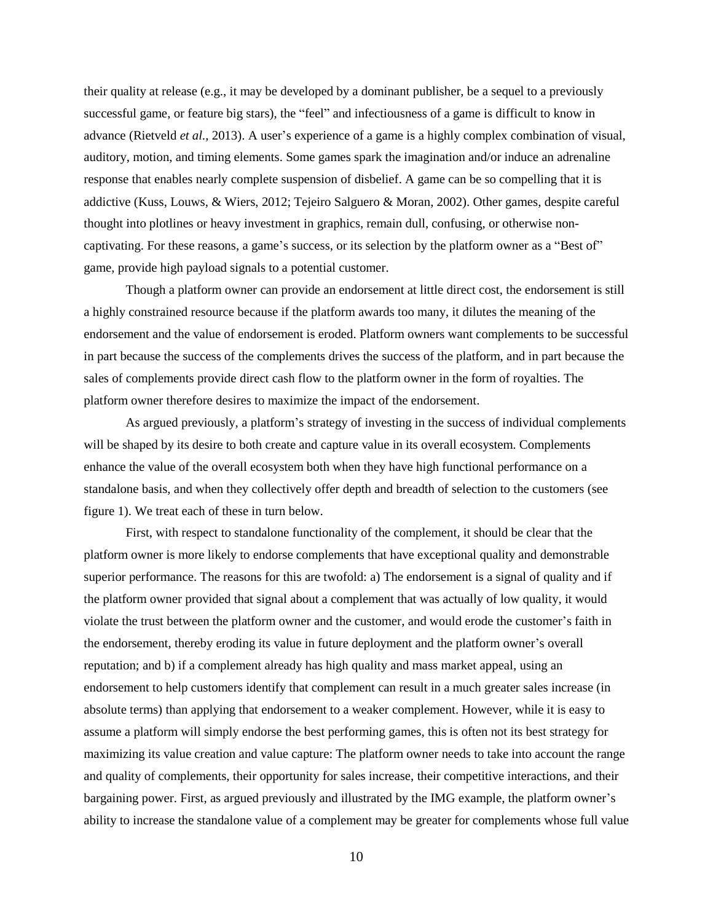their quality at release (e.g., it may be developed by a dominant publisher, be a sequel to a previously successful game, or feature big stars), the "feel" and infectiousness of a game is difficult to know in advance (Rietveld *et al.*, 2013). A user's experience of a game is a highly complex combination of visual, auditory, motion, and timing elements. Some games spark the imagination and/or induce an adrenaline response that enables nearly complete suspension of disbelief. A game can be so compelling that it is addictive (Kuss, Louws, & Wiers, 2012; Tejeiro Salguero & Moran, 2002). Other games, despite careful thought into plotlines or heavy investment in graphics, remain dull, confusing, or otherwise noncaptivating. For these reasons, a game's success, or its selection by the platform owner as a "Best of" game, provide high payload signals to a potential customer.

Though a platform owner can provide an endorsement at little direct cost, the endorsement is still a highly constrained resource because if the platform awards too many, it dilutes the meaning of the endorsement and the value of endorsement is eroded. Platform owners want complements to be successful in part because the success of the complements drives the success of the platform, and in part because the sales of complements provide direct cash flow to the platform owner in the form of royalties. The platform owner therefore desires to maximize the impact of the endorsement.

As argued previously, a platform's strategy of investing in the success of individual complements will be shaped by its desire to both create and capture value in its overall ecosystem. Complements enhance the value of the overall ecosystem both when they have high functional performance on a standalone basis, and when they collectively offer depth and breadth of selection to the customers (see figure 1). We treat each of these in turn below.

First, with respect to standalone functionality of the complement, it should be clear that the platform owner is more likely to endorse complements that have exceptional quality and demonstrable superior performance. The reasons for this are twofold: a) The endorsement is a signal of quality and if the platform owner provided that signal about a complement that was actually of low quality, it would violate the trust between the platform owner and the customer, and would erode the customer's faith in the endorsement, thereby eroding its value in future deployment and the platform owner's overall reputation; and b) if a complement already has high quality and mass market appeal, using an endorsement to help customers identify that complement can result in a much greater sales increase (in absolute terms) than applying that endorsement to a weaker complement. However, while it is easy to assume a platform will simply endorse the best performing games, this is often not its best strategy for maximizing its value creation and value capture: The platform owner needs to take into account the range and quality of complements, their opportunity for sales increase, their competitive interactions, and their bargaining power. First, as argued previously and illustrated by the IMG example, the platform owner's ability to increase the standalone value of a complement may be greater for complements whose full value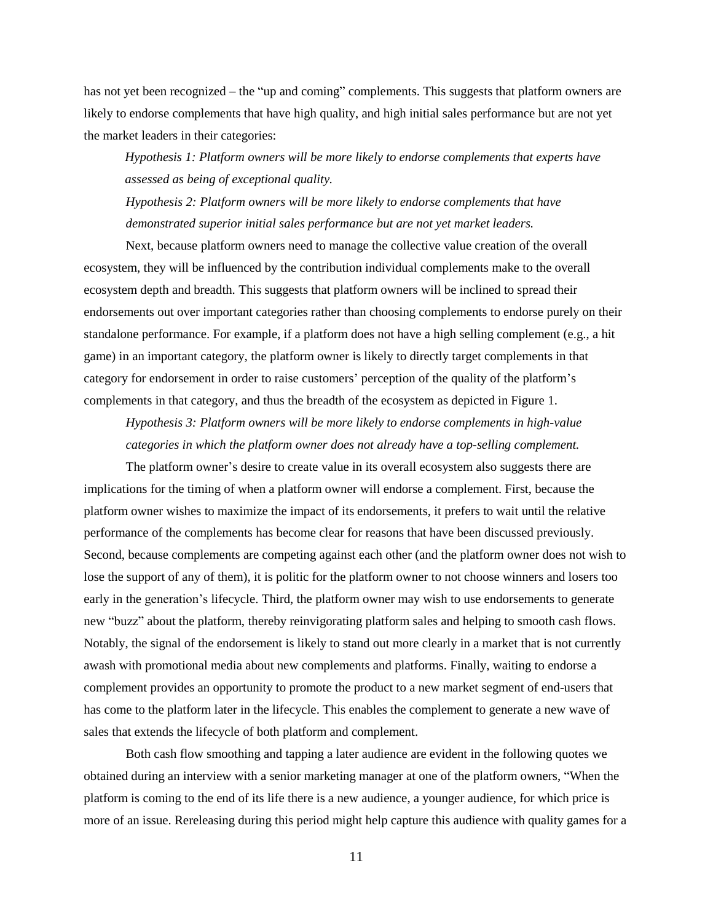has not yet been recognized – the "up and coming" complements. This suggests that platform owners are likely to endorse complements that have high quality, and high initial sales performance but are not yet the market leaders in their categories:

*Hypothesis 1: Platform owners will be more likely to endorse complements that experts have assessed as being of exceptional quality.*

*Hypothesis 2: Platform owners will be more likely to endorse complements that have demonstrated superior initial sales performance but are not yet market leaders.*

Next, because platform owners need to manage the collective value creation of the overall ecosystem, they will be influenced by the contribution individual complements make to the overall ecosystem depth and breadth. This suggests that platform owners will be inclined to spread their endorsements out over important categories rather than choosing complements to endorse purely on their standalone performance. For example, if a platform does not have a high selling complement (e.g., a hit game) in an important category, the platform owner is likely to directly target complements in that category for endorsement in order to raise customers' perception of the quality of the platform's complements in that category, and thus the breadth of the ecosystem as depicted in Figure 1.

*Hypothesis 3: Platform owners will be more likely to endorse complements in high-value categories in which the platform owner does not already have a top-selling complement.*

The platform owner's desire to create value in its overall ecosystem also suggests there are implications for the timing of when a platform owner will endorse a complement. First, because the platform owner wishes to maximize the impact of its endorsements, it prefers to wait until the relative performance of the complements has become clear for reasons that have been discussed previously. Second, because complements are competing against each other (and the platform owner does not wish to lose the support of any of them), it is politic for the platform owner to not choose winners and losers too early in the generation's lifecycle. Third, the platform owner may wish to use endorsements to generate new "buzz" about the platform, thereby reinvigorating platform sales and helping to smooth cash flows. Notably, the signal of the endorsement is likely to stand out more clearly in a market that is not currently awash with promotional media about new complements and platforms. Finally, waiting to endorse a complement provides an opportunity to promote the product to a new market segment of end-users that has come to the platform later in the lifecycle. This enables the complement to generate a new wave of sales that extends the lifecycle of both platform and complement.

Both cash flow smoothing and tapping a later audience are evident in the following quotes we obtained during an interview with a senior marketing manager at one of the platform owners, "When the platform is coming to the end of its life there is a new audience, a younger audience, for which price is more of an issue. Rereleasing during this period might help capture this audience with quality games for a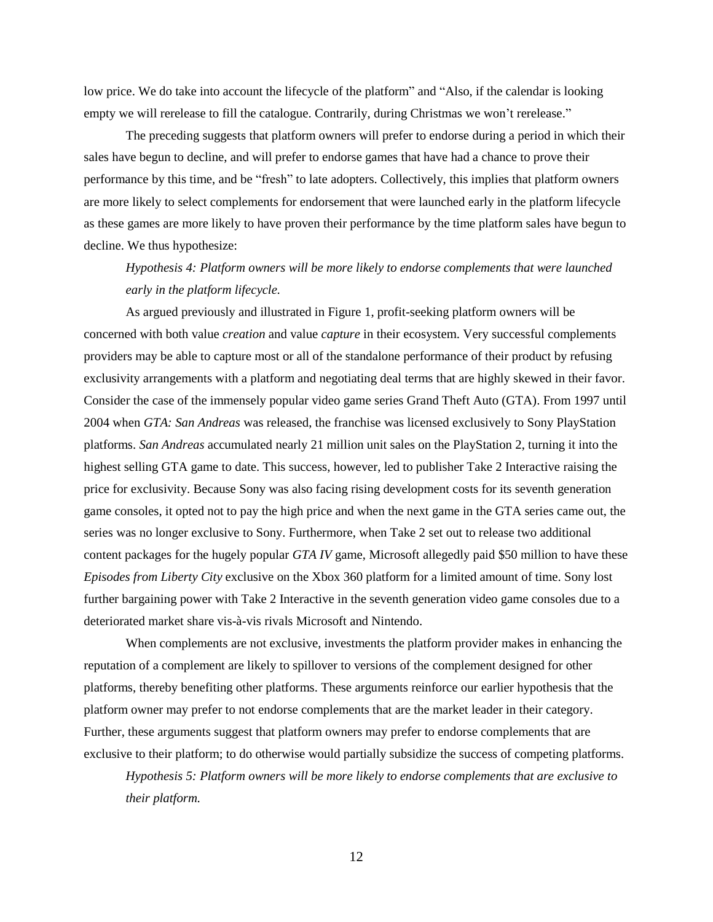low price. We do take into account the lifecycle of the platform" and "Also, if the calendar is looking empty we will rerelease to fill the catalogue. Contrarily, during Christmas we won't rerelease."

The preceding suggests that platform owners will prefer to endorse during a period in which their sales have begun to decline, and will prefer to endorse games that have had a chance to prove their performance by this time, and be "fresh" to late adopters. Collectively, this implies that platform owners are more likely to select complements for endorsement that were launched early in the platform lifecycle as these games are more likely to have proven their performance by the time platform sales have begun to decline. We thus hypothesize:

*Hypothesis 4: Platform owners will be more likely to endorse complements that were launched early in the platform lifecycle.*

As argued previously and illustrated in Figure 1, profit-seeking platform owners will be concerned with both value *creation* and value *capture* in their ecosystem. Very successful complements providers may be able to capture most or all of the standalone performance of their product by refusing exclusivity arrangements with a platform and negotiating deal terms that are highly skewed in their favor. Consider the case of the immensely popular video game series Grand Theft Auto (GTA). From 1997 until 2004 when *GTA: San Andreas* was released, the franchise was licensed exclusively to Sony PlayStation platforms. *San Andreas* accumulated nearly 21 million unit sales on the PlayStation 2, turning it into the highest selling GTA game to date. This success, however, led to publisher Take 2 Interactive raising the price for exclusivity. Because Sony was also facing rising development costs for its seventh generation game consoles, it opted not to pay the high price and when the next game in the GTA series came out, the series was no longer exclusive to Sony. Furthermore, when Take 2 set out to release two additional content packages for the hugely popular *GTA IV* game, Microsoft allegedly paid \$50 million to have these *Episodes from Liberty City* exclusive on the Xbox 360 platform for a limited amount of time. Sony lost further bargaining power with Take 2 Interactive in the seventh generation video game consoles due to a deteriorated market share vis-à-vis rivals Microsoft and Nintendo.

When complements are not exclusive, investments the platform provider makes in enhancing the reputation of a complement are likely to spillover to versions of the complement designed for other platforms, thereby benefiting other platforms. These arguments reinforce our earlier hypothesis that the platform owner may prefer to not endorse complements that are the market leader in their category. Further, these arguments suggest that platform owners may prefer to endorse complements that are exclusive to their platform; to do otherwise would partially subsidize the success of competing platforms.

*Hypothesis 5: Platform owners will be more likely to endorse complements that are exclusive to their platform.*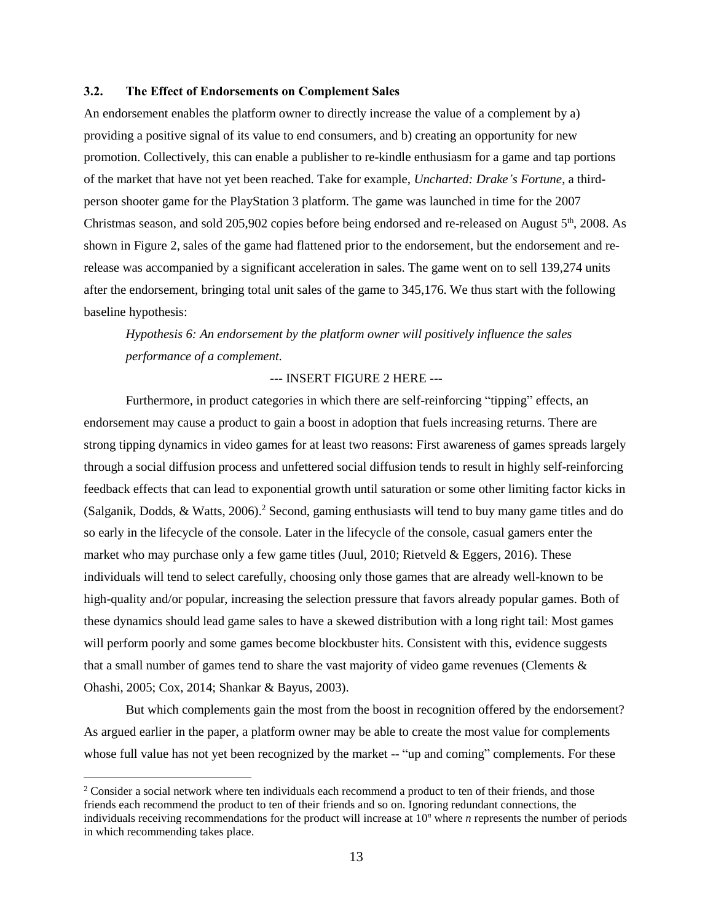### **3.2. The Effect of Endorsements on Complement Sales**

An endorsement enables the platform owner to directly increase the value of a complement by a) providing a positive signal of its value to end consumers, and b) creating an opportunity for new promotion. Collectively, this can enable a publisher to re-kindle enthusiasm for a game and tap portions of the market that have not yet been reached. Take for example, *Uncharted: Drake's Fortune*, a thirdperson shooter game for the PlayStation 3 platform. The game was launched in time for the 2007 Christmas season, and sold 205,902 copies before being endorsed and re-released on August 5<sup>th</sup>, 2008. As shown in Figure 2, sales of the game had flattened prior to the endorsement, but the endorsement and rerelease was accompanied by a significant acceleration in sales. The game went on to sell 139,274 units after the endorsement, bringing total unit sales of the game to 345,176. We thus start with the following baseline hypothesis:

*Hypothesis 6: An endorsement by the platform owner will positively influence the sales performance of a complement.*

### --- INSERT FIGURE 2 HERE ---

Furthermore, in product categories in which there are self-reinforcing "tipping" effects, an endorsement may cause a product to gain a boost in adoption that fuels increasing returns. There are strong tipping dynamics in video games for at least two reasons: First awareness of games spreads largely through a social diffusion process and unfettered social diffusion tends to result in highly self-reinforcing feedback effects that can lead to exponential growth until saturation or some other limiting factor kicks in (Salganik, Dodds, & Watts, 2006).<sup>2</sup> Second, gaming enthusiasts will tend to buy many game titles and do so early in the lifecycle of the console. Later in the lifecycle of the console, casual gamers enter the market who may purchase only a few game titles (Juul, 2010; Rietveld & Eggers, 2016). These individuals will tend to select carefully, choosing only those games that are already well-known to be high-quality and/or popular, increasing the selection pressure that favors already popular games. Both of these dynamics should lead game sales to have a skewed distribution with a long right tail: Most games will perform poorly and some games become blockbuster hits. Consistent with this, evidence suggests that a small number of games tend to share the vast majority of video game revenues (Clements & Ohashi, 2005; Cox, 2014; Shankar & Bayus, 2003).

But which complements gain the most from the boost in recognition offered by the endorsement? As argued earlier in the paper, a platform owner may be able to create the most value for complements whose full value has not yet been recognized by the market -- "up and coming" complements. For these

 $\overline{a}$ 

<sup>&</sup>lt;sup>2</sup> Consider a social network where ten individuals each recommend a product to ten of their friends, and those friends each recommend the product to ten of their friends and so on. Ignoring redundant connections, the individuals receiving recommendations for the product will increase at 10*<sup>n</sup>* where *n* represents the number of periods in which recommending takes place.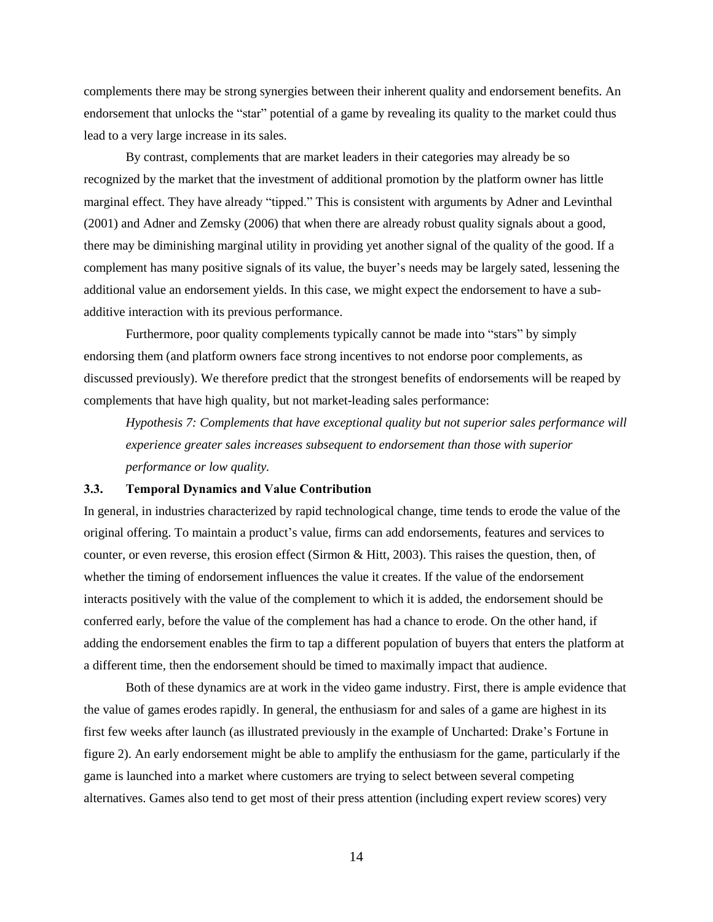complements there may be strong synergies between their inherent quality and endorsement benefits. An endorsement that unlocks the "star" potential of a game by revealing its quality to the market could thus lead to a very large increase in its sales.

By contrast, complements that are market leaders in their categories may already be so recognized by the market that the investment of additional promotion by the platform owner has little marginal effect. They have already "tipped." This is consistent with arguments by Adner and Levinthal (2001) and Adner and Zemsky (2006) that when there are already robust quality signals about a good, there may be diminishing marginal utility in providing yet another signal of the quality of the good. If a complement has many positive signals of its value, the buyer's needs may be largely sated, lessening the additional value an endorsement yields. In this case, we might expect the endorsement to have a subadditive interaction with its previous performance.

Furthermore, poor quality complements typically cannot be made into "stars" by simply endorsing them (and platform owners face strong incentives to not endorse poor complements, as discussed previously). We therefore predict that the strongest benefits of endorsements will be reaped by complements that have high quality, but not market-leading sales performance:

*Hypothesis 7: Complements that have exceptional quality but not superior sales performance will experience greater sales increases subsequent to endorsement than those with superior performance or low quality.*

#### **3.3. Temporal Dynamics and Value Contribution**

In general, in industries characterized by rapid technological change, time tends to erode the value of the original offering. To maintain a product's value, firms can add endorsements, features and services to counter, or even reverse, this erosion effect (Sirmon & Hitt, 2003). This raises the question, then, of whether the timing of endorsement influences the value it creates. If the value of the endorsement interacts positively with the value of the complement to which it is added, the endorsement should be conferred early, before the value of the complement has had a chance to erode. On the other hand, if adding the endorsement enables the firm to tap a different population of buyers that enters the platform at a different time, then the endorsement should be timed to maximally impact that audience.

Both of these dynamics are at work in the video game industry. First, there is ample evidence that the value of games erodes rapidly. In general, the enthusiasm for and sales of a game are highest in its first few weeks after launch (as illustrated previously in the example of Uncharted: Drake's Fortune in figure 2). An early endorsement might be able to amplify the enthusiasm for the game, particularly if the game is launched into a market where customers are trying to select between several competing alternatives. Games also tend to get most of their press attention (including expert review scores) very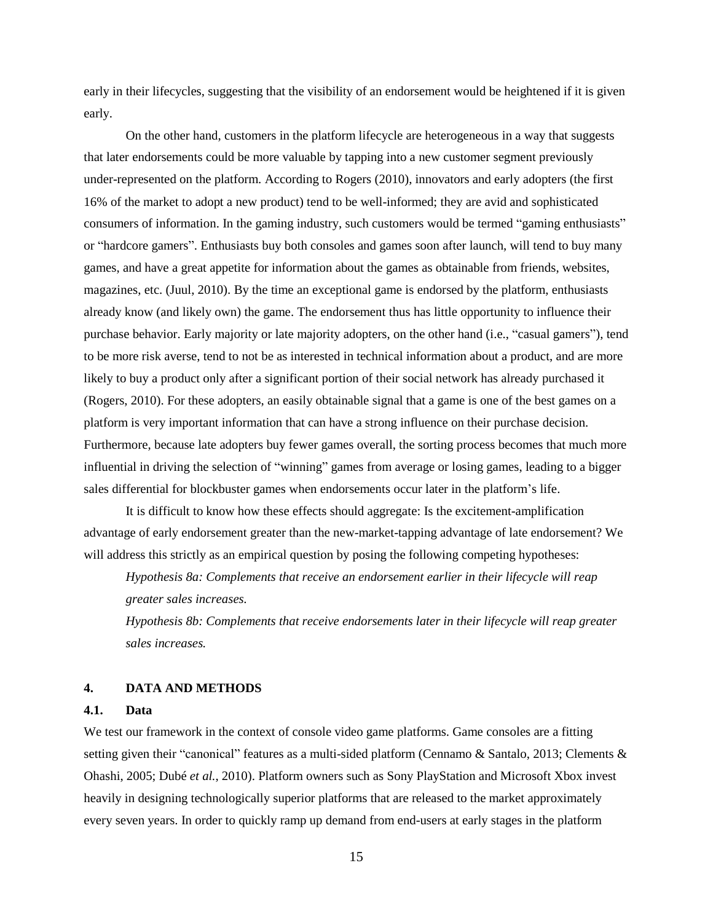early in their lifecycles, suggesting that the visibility of an endorsement would be heightened if it is given early.

On the other hand, customers in the platform lifecycle are heterogeneous in a way that suggests that later endorsements could be more valuable by tapping into a new customer segment previously under-represented on the platform. According to Rogers (2010), innovators and early adopters (the first 16% of the market to adopt a new product) tend to be well-informed; they are avid and sophisticated consumers of information. In the gaming industry, such customers would be termed "gaming enthusiasts" or "hardcore gamers". Enthusiasts buy both consoles and games soon after launch, will tend to buy many games, and have a great appetite for information about the games as obtainable from friends, websites, magazines, etc. (Juul, 2010). By the time an exceptional game is endorsed by the platform, enthusiasts already know (and likely own) the game. The endorsement thus has little opportunity to influence their purchase behavior. Early majority or late majority adopters, on the other hand (i.e., "casual gamers"), tend to be more risk averse, tend to not be as interested in technical information about a product, and are more likely to buy a product only after a significant portion of their social network has already purchased it (Rogers, 2010). For these adopters, an easily obtainable signal that a game is one of the best games on a platform is very important information that can have a strong influence on their purchase decision. Furthermore, because late adopters buy fewer games overall, the sorting process becomes that much more influential in driving the selection of "winning" games from average or losing games, leading to a bigger sales differential for blockbuster games when endorsements occur later in the platform's life.

It is difficult to know how these effects should aggregate: Is the excitement-amplification advantage of early endorsement greater than the new-market-tapping advantage of late endorsement? We will address this strictly as an empirical question by posing the following competing hypotheses:

*Hypothesis 8a: Complements that receive an endorsement earlier in their lifecycle will reap greater sales increases.*

*Hypothesis 8b: Complements that receive endorsements later in their lifecycle will reap greater sales increases.*

### **4. DATA AND METHODS**

### **4.1. Data**

We test our framework in the context of console video game platforms. Game consoles are a fitting setting given their "canonical" features as a multi-sided platform (Cennamo & Santalo, 2013; Clements & Ohashi, 2005; Dubé *et al.*, 2010). Platform owners such as Sony PlayStation and Microsoft Xbox invest heavily in designing technologically superior platforms that are released to the market approximately every seven years. In order to quickly ramp up demand from end-users at early stages in the platform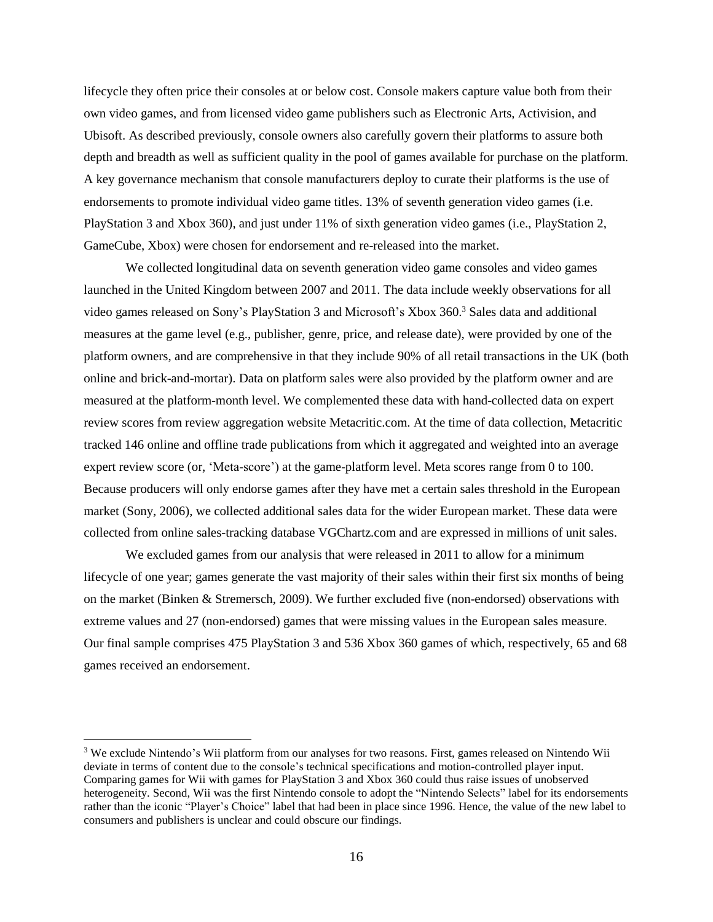lifecycle they often price their consoles at or below cost. Console makers capture value both from their own video games, and from licensed video game publishers such as Electronic Arts, Activision, and Ubisoft. As described previously, console owners also carefully govern their platforms to assure both depth and breadth as well as sufficient quality in the pool of games available for purchase on the platform. A key governance mechanism that console manufacturers deploy to curate their platforms is the use of endorsements to promote individual video game titles. 13% of seventh generation video games (i.e. PlayStation 3 and Xbox 360), and just under 11% of sixth generation video games (i.e., PlayStation 2, GameCube, Xbox) were chosen for endorsement and re-released into the market.

We collected longitudinal data on seventh generation video game consoles and video games launched in the United Kingdom between 2007 and 2011. The data include weekly observations for all video games released on Sony's PlayStation 3 and Microsoft's Xbox 360.<sup>3</sup> Sales data and additional measures at the game level (e.g., publisher, genre, price, and release date), were provided by one of the platform owners, and are comprehensive in that they include 90% of all retail transactions in the UK (both online and brick-and-mortar). Data on platform sales were also provided by the platform owner and are measured at the platform-month level. We complemented these data with hand-collected data on expert review scores from review aggregation website Metacritic.com. At the time of data collection, Metacritic tracked 146 online and offline trade publications from which it aggregated and weighted into an average expert review score (or, 'Meta-score') at the game-platform level. Meta scores range from 0 to 100. Because producers will only endorse games after they have met a certain sales threshold in the European market (Sony, 2006), we collected additional sales data for the wider European market. These data were collected from online sales-tracking database VGChartz.com and are expressed in millions of unit sales.

We excluded games from our analysis that were released in 2011 to allow for a minimum lifecycle of one year; games generate the vast majority of their sales within their first six months of being on the market (Binken & Stremersch, 2009). We further excluded five (non-endorsed) observations with extreme values and 27 (non-endorsed) games that were missing values in the European sales measure. Our final sample comprises 475 PlayStation 3 and 536 Xbox 360 games of which, respectively, 65 and 68 games received an endorsement.

 $\overline{a}$ 

<sup>&</sup>lt;sup>3</sup> We exclude Nintendo's Wii platform from our analyses for two reasons. First, games released on Nintendo Wii deviate in terms of content due to the console's technical specifications and motion-controlled player input. Comparing games for Wii with games for PlayStation 3 and Xbox 360 could thus raise issues of unobserved heterogeneity. Second, Wii was the first Nintendo console to adopt the "Nintendo Selects" label for its endorsements rather than the iconic "Player's Choice" label that had been in place since 1996. Hence, the value of the new label to consumers and publishers is unclear and could obscure our findings.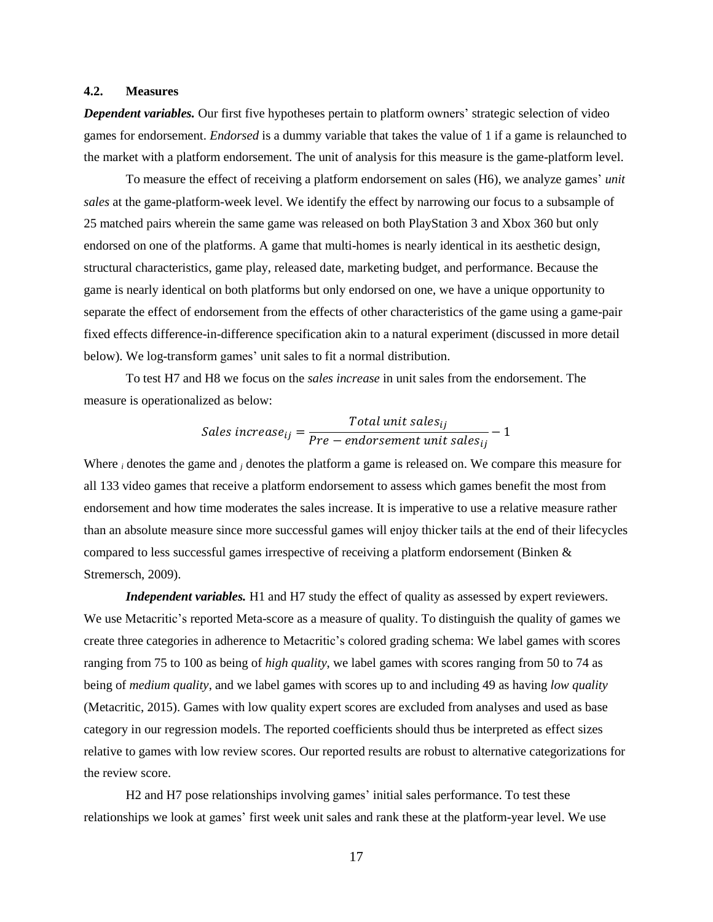#### **4.2. Measures**

*Dependent variables.* Our first five hypotheses pertain to platform owners' strategic selection of video games for endorsement. *Endorsed* is a dummy variable that takes the value of 1 if a game is relaunched to the market with a platform endorsement. The unit of analysis for this measure is the game-platform level.

To measure the effect of receiving a platform endorsement on sales (H6), we analyze games' *unit sales* at the game-platform-week level. We identify the effect by narrowing our focus to a subsample of 25 matched pairs wherein the same game was released on both PlayStation 3 and Xbox 360 but only endorsed on one of the platforms. A game that multi-homes is nearly identical in its aesthetic design, structural characteristics, game play, released date, marketing budget, and performance. Because the game is nearly identical on both platforms but only endorsed on one, we have a unique opportunity to separate the effect of endorsement from the effects of other characteristics of the game using a game-pair fixed effects difference-in-difference specification akin to a natural experiment (discussed in more detail below). We log-transform games' unit sales to fit a normal distribution.

To test H7 and H8 we focus on the *sales increase* in unit sales from the endorsement. The measure is operationalized as below:

$$
Sales increase_{ij} = \frac{Total unit sales_{ij}}{Pre-endorsement unit sales_{ij}} - 1
$$

Where *<sup>i</sup>* denotes the game and *<sup>j</sup>* denotes the platform a game is released on. We compare this measure for all 133 video games that receive a platform endorsement to assess which games benefit the most from endorsement and how time moderates the sales increase. It is imperative to use a relative measure rather than an absolute measure since more successful games will enjoy thicker tails at the end of their lifecycles compared to less successful games irrespective of receiving a platform endorsement (Binken & Stremersch, 2009).

*Independent variables.* H1 and H7 study the effect of quality as assessed by expert reviewers. We use Metacritic's reported Meta-score as a measure of quality. To distinguish the quality of games we create three categories in adherence to Metacritic's colored grading schema: We label games with scores ranging from 75 to 100 as being of *high quality*, we label games with scores ranging from 50 to 74 as being of *medium quality*, and we label games with scores up to and including 49 as having *low quality* (Metacritic, 2015). Games with low quality expert scores are excluded from analyses and used as base category in our regression models. The reported coefficients should thus be interpreted as effect sizes relative to games with low review scores. Our reported results are robust to alternative categorizations for the review score.

H2 and H7 pose relationships involving games' initial sales performance. To test these relationships we look at games' first week unit sales and rank these at the platform-year level. We use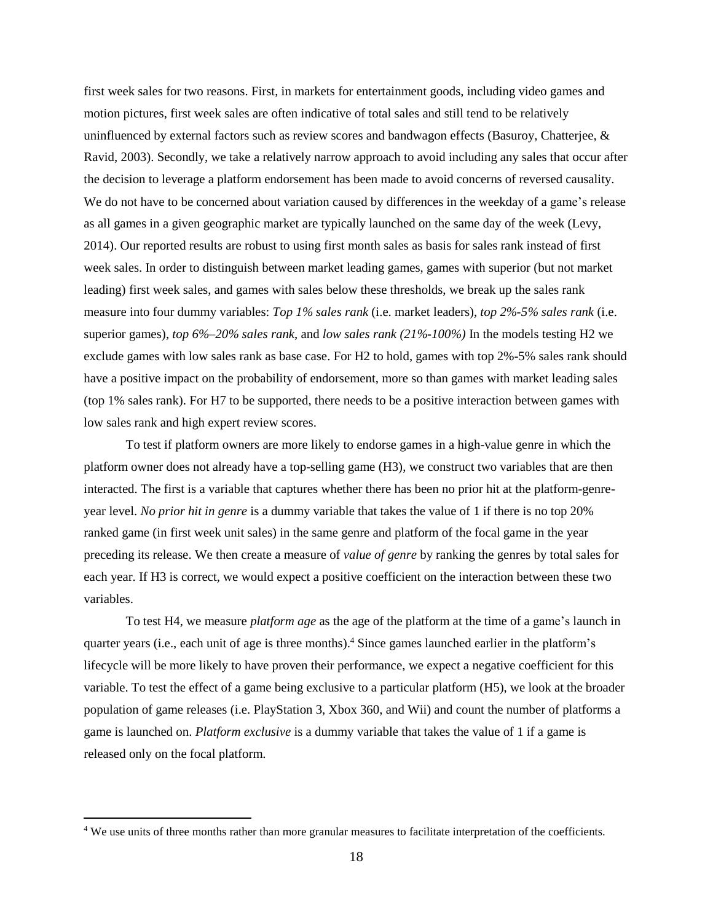first week sales for two reasons. First, in markets for entertainment goods, including video games and motion pictures, first week sales are often indicative of total sales and still tend to be relatively uninfluenced by external factors such as review scores and bandwagon effects (Basuroy, Chatterjee, & Ravid, 2003). Secondly, we take a relatively narrow approach to avoid including any sales that occur after the decision to leverage a platform endorsement has been made to avoid concerns of reversed causality. We do not have to be concerned about variation caused by differences in the weekday of a game's release as all games in a given geographic market are typically launched on the same day of the week (Levy, 2014). Our reported results are robust to using first month sales as basis for sales rank instead of first week sales. In order to distinguish between market leading games, games with superior (but not market leading) first week sales, and games with sales below these thresholds, we break up the sales rank measure into four dummy variables: *Top 1% sales rank* (i.e. market leaders), *top 2%-5% sales rank* (i.e. superior games), *top 6%–20% sales rank*, and *low sales rank (21%-100%)* In the models testing H2 we exclude games with low sales rank as base case. For H2 to hold, games with top 2%-5% sales rank should have a positive impact on the probability of endorsement, more so than games with market leading sales (top 1% sales rank). For H7 to be supported, there needs to be a positive interaction between games with low sales rank and high expert review scores.

To test if platform owners are more likely to endorse games in a high-value genre in which the platform owner does not already have a top-selling game (H3), we construct two variables that are then interacted. The first is a variable that captures whether there has been no prior hit at the platform-genreyear level. *No prior hit in genre* is a dummy variable that takes the value of 1 if there is no top 20% ranked game (in first week unit sales) in the same genre and platform of the focal game in the year preceding its release. We then create a measure of *value of genre* by ranking the genres by total sales for each year. If H3 is correct, we would expect a positive coefficient on the interaction between these two variables.

To test H4, we measure *platform age* as the age of the platform at the time of a game's launch in quarter years (i.e., each unit of age is three months).<sup>4</sup> Since games launched earlier in the platform's lifecycle will be more likely to have proven their performance, we expect a negative coefficient for this variable. To test the effect of a game being exclusive to a particular platform (H5), we look at the broader population of game releases (i.e. PlayStation 3, Xbox 360, and Wii) and count the number of platforms a game is launched on. *Platform exclusive* is a dummy variable that takes the value of 1 if a game is released only on the focal platform.

 $\overline{a}$ 

<sup>4</sup> We use units of three months rather than more granular measures to facilitate interpretation of the coefficients.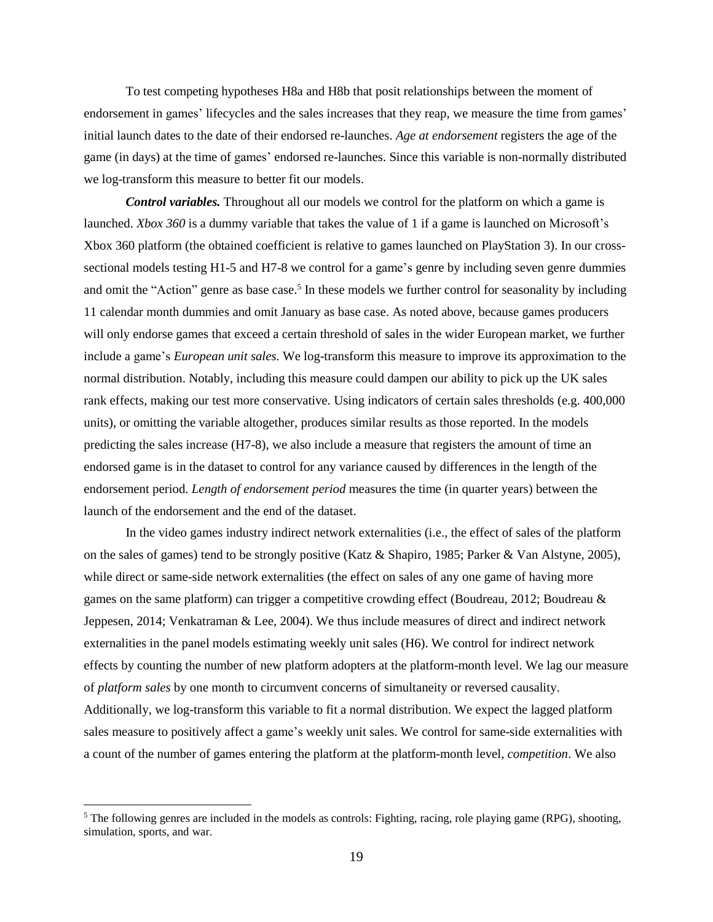To test competing hypotheses H8a and H8b that posit relationships between the moment of endorsement in games' lifecycles and the sales increases that they reap, we measure the time from games' initial launch dates to the date of their endorsed re-launches. *Age at endorsement* registers the age of the game (in days) at the time of games' endorsed re-launches. Since this variable is non-normally distributed we log-transform this measure to better fit our models.

*Control variables.* Throughout all our models we control for the platform on which a game is launched. *Xbox 360* is a dummy variable that takes the value of 1 if a game is launched on Microsoft's Xbox 360 platform (the obtained coefficient is relative to games launched on PlayStation 3). In our crosssectional models testing H1-5 and H7-8 we control for a game's genre by including seven genre dummies and omit the "Action" genre as base case.<sup>5</sup> In these models we further control for seasonality by including 11 calendar month dummies and omit January as base case. As noted above, because games producers will only endorse games that exceed a certain threshold of sales in the wider European market, we further include a game's *European unit sales.* We log-transform this measure to improve its approximation to the normal distribution. Notably, including this measure could dampen our ability to pick up the UK sales rank effects, making our test more conservative. Using indicators of certain sales thresholds (e.g. 400,000 units), or omitting the variable altogether, produces similar results as those reported. In the models predicting the sales increase (H7-8), we also include a measure that registers the amount of time an endorsed game is in the dataset to control for any variance caused by differences in the length of the endorsement period. *Length of endorsement period* measures the time (in quarter years) between the launch of the endorsement and the end of the dataset.

In the video games industry indirect network externalities (i.e., the effect of sales of the platform on the sales of games) tend to be strongly positive (Katz & Shapiro, 1985; Parker & Van Alstyne, 2005), while direct or same-side network externalities (the effect on sales of any one game of having more games on the same platform) can trigger a competitive crowding effect (Boudreau, 2012; Boudreau & Jeppesen, 2014; Venkatraman & Lee, 2004). We thus include measures of direct and indirect network externalities in the panel models estimating weekly unit sales (H6). We control for indirect network effects by counting the number of new platform adopters at the platform-month level. We lag our measure of *platform sales* by one month to circumvent concerns of simultaneity or reversed causality. Additionally, we log-transform this variable to fit a normal distribution. We expect the lagged platform sales measure to positively affect a game's weekly unit sales. We control for same-side externalities with a count of the number of games entering the platform at the platform-month level, *competition*. We also

 $\overline{a}$ 

<sup>&</sup>lt;sup>5</sup> The following genres are included in the models as controls: Fighting, racing, role playing game (RPG), shooting, simulation, sports, and war.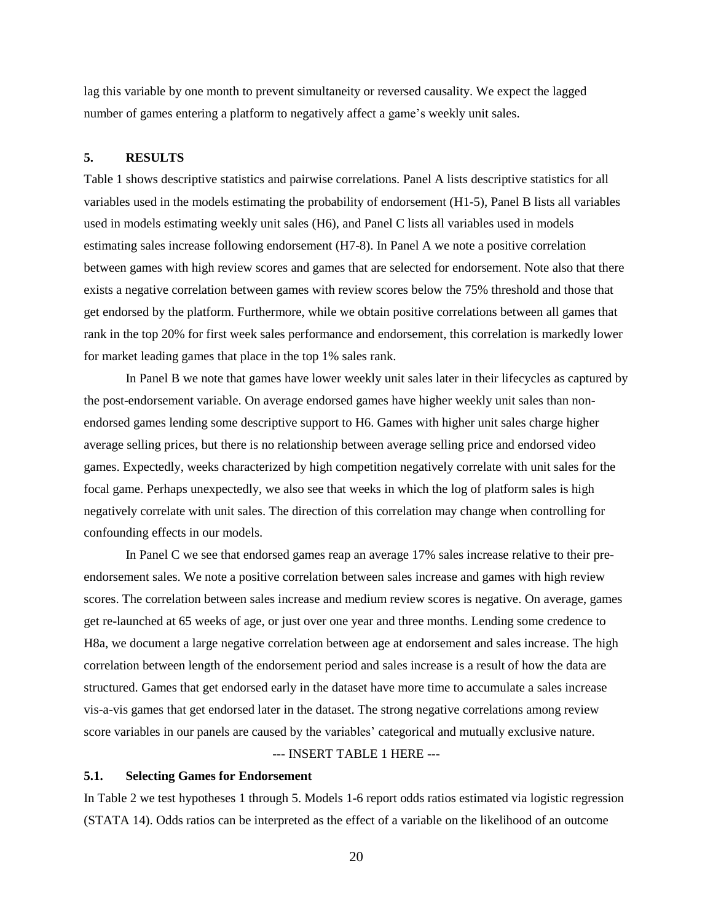lag this variable by one month to prevent simultaneity or reversed causality. We expect the lagged number of games entering a platform to negatively affect a game's weekly unit sales.

#### **5. RESULTS**

Table 1 shows descriptive statistics and pairwise correlations. Panel A lists descriptive statistics for all variables used in the models estimating the probability of endorsement (H1-5), Panel B lists all variables used in models estimating weekly unit sales (H6), and Panel C lists all variables used in models estimating sales increase following endorsement (H7-8). In Panel A we note a positive correlation between games with high review scores and games that are selected for endorsement. Note also that there exists a negative correlation between games with review scores below the 75% threshold and those that get endorsed by the platform. Furthermore, while we obtain positive correlations between all games that rank in the top 20% for first week sales performance and endorsement, this correlation is markedly lower for market leading games that place in the top 1% sales rank.

In Panel B we note that games have lower weekly unit sales later in their lifecycles as captured by the post-endorsement variable. On average endorsed games have higher weekly unit sales than nonendorsed games lending some descriptive support to H6. Games with higher unit sales charge higher average selling prices, but there is no relationship between average selling price and endorsed video games. Expectedly, weeks characterized by high competition negatively correlate with unit sales for the focal game. Perhaps unexpectedly, we also see that weeks in which the log of platform sales is high negatively correlate with unit sales. The direction of this correlation may change when controlling for confounding effects in our models.

In Panel C we see that endorsed games reap an average 17% sales increase relative to their preendorsement sales. We note a positive correlation between sales increase and games with high review scores. The correlation between sales increase and medium review scores is negative. On average, games get re-launched at 65 weeks of age, or just over one year and three months. Lending some credence to H8a, we document a large negative correlation between age at endorsement and sales increase. The high correlation between length of the endorsement period and sales increase is a result of how the data are structured. Games that get endorsed early in the dataset have more time to accumulate a sales increase vis-a-vis games that get endorsed later in the dataset. The strong negative correlations among review score variables in our panels are caused by the variables' categorical and mutually exclusive nature. --- INSERT TABLE 1 HERE ---

### **5.1. Selecting Games for Endorsement**

In Table 2 we test hypotheses 1 through 5. Models 1-6 report odds ratios estimated via logistic regression (STATA 14). Odds ratios can be interpreted as the effect of a variable on the likelihood of an outcome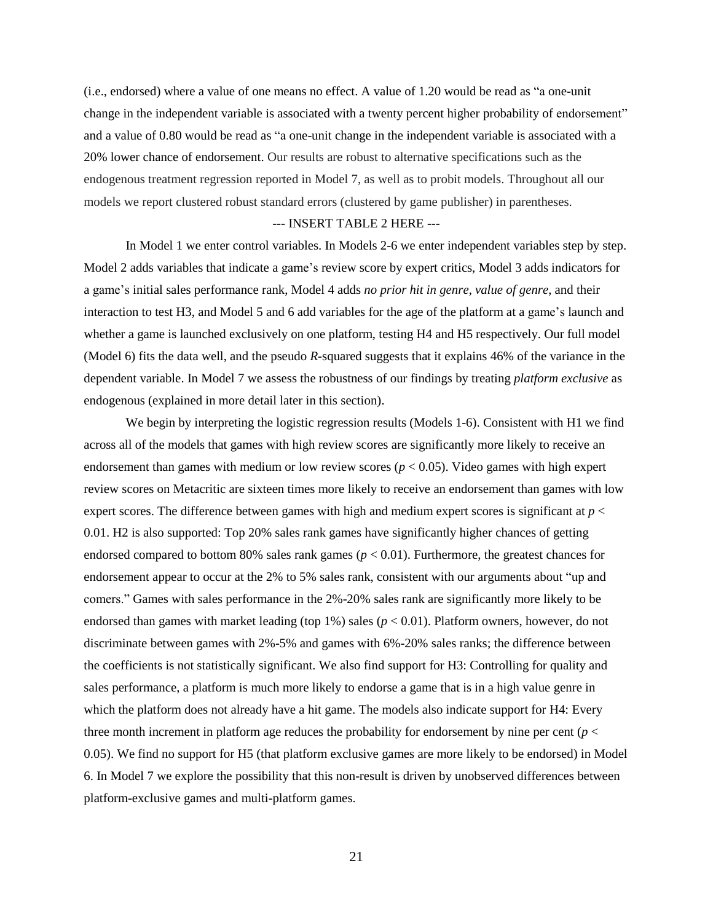(i.e., endorsed) where a value of one means no effect. A value of 1.20 would be read as "a one-unit change in the independent variable is associated with a twenty percent higher probability of endorsement" and a value of 0.80 would be read as "a one-unit change in the independent variable is associated with a 20% lower chance of endorsement. Our results are robust to alternative specifications such as the endogenous treatment regression reported in Model 7, as well as to probit models. Throughout all our models we report clustered robust standard errors (clustered by game publisher) in parentheses.

#### --- INSERT TABLE 2 HERE ---

In Model 1 we enter control variables. In Models 2-6 we enter independent variables step by step. Model 2 adds variables that indicate a game's review score by expert critics, Model 3 adds indicators for a game's initial sales performance rank, Model 4 adds *no prior hit in genre*, *value of genre*, and their interaction to test H3, and Model 5 and 6 add variables for the age of the platform at a game's launch and whether a game is launched exclusively on one platform, testing H4 and H5 respectively. Our full model (Model 6) fits the data well, and the pseudo *R-*squared suggests that it explains 46% of the variance in the dependent variable. In Model 7 we assess the robustness of our findings by treating *platform exclusive* as endogenous (explained in more detail later in this section).

We begin by interpreting the logistic regression results (Models 1-6). Consistent with H1 we find across all of the models that games with high review scores are significantly more likely to receive an endorsement than games with medium or low review scores (*p* < 0.05). Video games with high expert review scores on Metacritic are sixteen times more likely to receive an endorsement than games with low expert scores. The difference between games with high and medium expert scores is significant at *p* < 0.01. H2 is also supported: Top 20% sales rank games have significantly higher chances of getting endorsed compared to bottom 80% sales rank games (*p* < 0.01). Furthermore, the greatest chances for endorsement appear to occur at the 2% to 5% sales rank, consistent with our arguments about "up and comers." Games with sales performance in the 2%-20% sales rank are significantly more likely to be endorsed than games with market leading (top 1%) sales (*p* < 0.01). Platform owners, however, do not discriminate between games with 2%-5% and games with 6%-20% sales ranks; the difference between the coefficients is not statistically significant. We also find support for H3: Controlling for quality and sales performance, a platform is much more likely to endorse a game that is in a high value genre in which the platform does not already have a hit game. The models also indicate support for H4: Every three month increment in platform age reduces the probability for endorsement by nine per cent ( $p <$ 0.05). We find no support for H5 (that platform exclusive games are more likely to be endorsed) in Model 6. In Model 7 we explore the possibility that this non-result is driven by unobserved differences between platform-exclusive games and multi-platform games.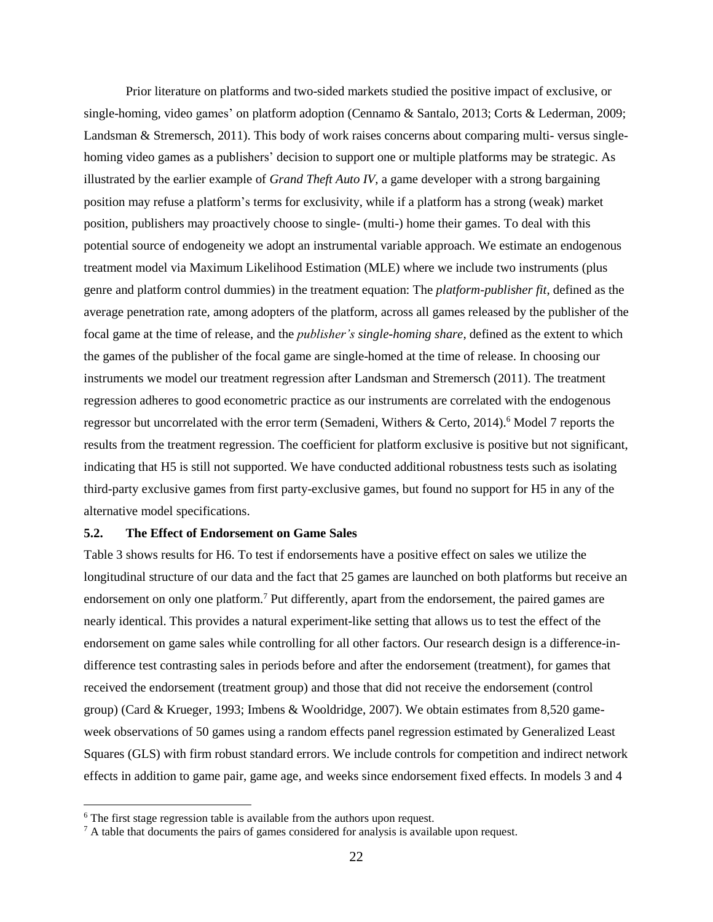Prior literature on platforms and two-sided markets studied the positive impact of exclusive, or single-homing, video games' on platform adoption (Cennamo & Santalo, 2013; Corts & Lederman, 2009; Landsman & Stremersch, 2011). This body of work raises concerns about comparing multi- versus singlehoming video games as a publishers' decision to support one or multiple platforms may be strategic. As illustrated by the earlier example of *Grand Theft Auto IV*, a game developer with a strong bargaining position may refuse a platform's terms for exclusivity, while if a platform has a strong (weak) market position, publishers may proactively choose to single- (multi-) home their games. To deal with this potential source of endogeneity we adopt an instrumental variable approach. We estimate an endogenous treatment model via Maximum Likelihood Estimation (MLE) where we include two instruments (plus genre and platform control dummies) in the treatment equation: The *platform-publisher fit*, defined as the average penetration rate, among adopters of the platform, across all games released by the publisher of the focal game at the time of release, and the *publisher's single-homing share*, defined as the extent to which the games of the publisher of the focal game are single-homed at the time of release. In choosing our instruments we model our treatment regression after Landsman and Stremersch (2011). The treatment regression adheres to good econometric practice as our instruments are correlated with the endogenous regressor but uncorrelated with the error term (Semadeni, Withers & Certo, 2014).<sup>6</sup> Model 7 reports the results from the treatment regression. The coefficient for platform exclusive is positive but not significant, indicating that H5 is still not supported. We have conducted additional robustness tests such as isolating third-party exclusive games from first party-exclusive games, but found no support for H5 in any of the alternative model specifications.

#### **5.2. The Effect of Endorsement on Game Sales**

Table 3 shows results for H6. To test if endorsements have a positive effect on sales we utilize the longitudinal structure of our data and the fact that 25 games are launched on both platforms but receive an endorsement on only one platform.<sup>7</sup> Put differently, apart from the endorsement, the paired games are nearly identical. This provides a natural experiment-like setting that allows us to test the effect of the endorsement on game sales while controlling for all other factors. Our research design is a difference-indifference test contrasting sales in periods before and after the endorsement (treatment), for games that received the endorsement (treatment group) and those that did not receive the endorsement (control group) (Card & Krueger, 1993; Imbens & Wooldridge, 2007). We obtain estimates from 8,520 gameweek observations of 50 games using a random effects panel regression estimated by Generalized Least Squares (GLS) with firm robust standard errors. We include controls for competition and indirect network effects in addition to game pair, game age, and weeks since endorsement fixed effects. In models 3 and 4

 $\overline{a}$ 

 $6$  The first stage regression table is available from the authors upon request.

 $<sup>7</sup>$  A table that documents the pairs of games considered for analysis is available upon request.</sup>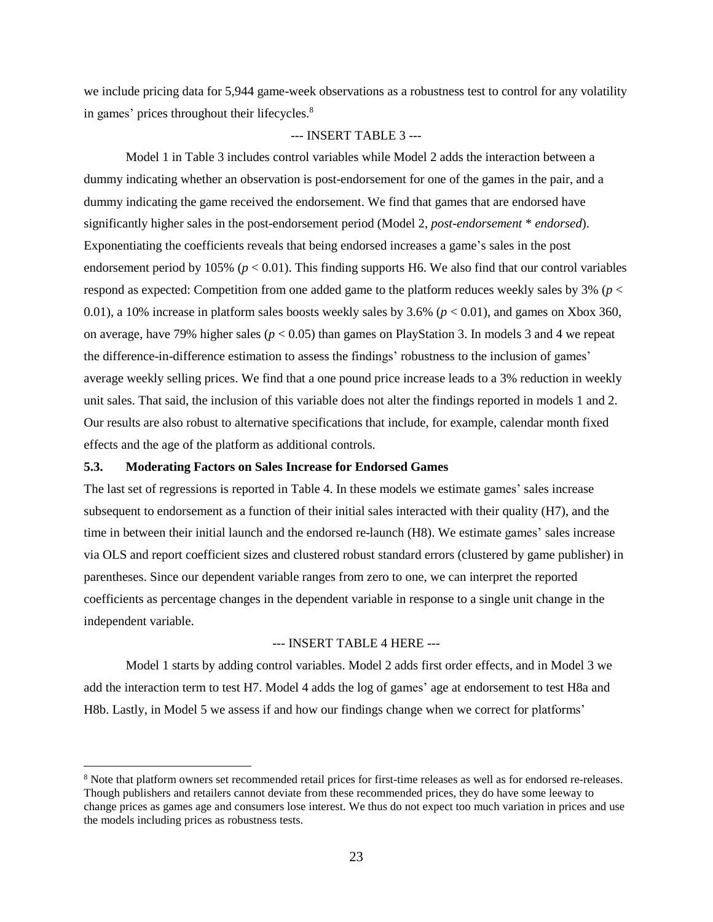we include pricing data for 5,944 game-week observations as a robustness test to control for any volatility in games' prices throughout their lifecycles.<sup>8</sup>

### --- INSERT TABLE 3 ---

Model 1 in Table 3 includes control variables while Model 2 adds the interaction between a dummy indicating whether an observation is post-endorsement for one of the games in the pair, and a dummy indicating the game received the endorsement. We find that games that are endorsed have significantly higher sales in the post-endorsement period (Model 2, *post-endorsement* \* *endorsed*). Exponentiating the coefficients reveals that being endorsed increases a game's sales in the post endorsement period by 105% ( $p < 0.01$ ). This finding supports H6. We also find that our control variables respond as expected: Competition from one added game to the platform reduces weekly sales by 3% (*p* < 0.01), a 10% increase in platform sales boosts weekly sales by  $3.6\%$  ( $p < 0.01$ ), and games on Xbox 360, on average, have 79% higher sales ( $p < 0.05$ ) than games on PlayStation 3. In models 3 and 4 we repeat the difference-in-difference estimation to assess the findings' robustness to the inclusion of games' average weekly selling prices. We find that a one pound price increase leads to a 3% reduction in weekly unit sales. That said, the inclusion of this variable does not alter the findings reported in models 1 and 2. Our results are also robust to alternative specifications that include, for example, calendar month fixed effects and the age of the platform as additional controls.

### **5.3. Moderating Factors on Sales Increase for Endorsed Games**

 $\overline{a}$ 

The last set of regressions is reported in Table 4. In these models we estimate games' sales increase subsequent to endorsement as a function of their initial sales interacted with their quality (H7), and the time in between their initial launch and the endorsed re-launch (H8). We estimate games' sales increase via OLS and report coefficient sizes and clustered robust standard errors (clustered by game publisher) in parentheses. Since our dependent variable ranges from zero to one, we can interpret the reported coefficients as percentage changes in the dependent variable in response to a single unit change in the independent variable.

#### --- INSERT TABLE 4 HERE ---

Model 1 starts by adding control variables. Model 2 adds first order effects, and in Model 3 we add the interaction term to test H7. Model 4 adds the log of games' age at endorsement to test H8a and H8b. Lastly, in Model 5 we assess if and how our findings change when we correct for platforms'

<sup>8</sup> Note that platform owners set recommended retail prices for first-time releases as well as for endorsed re-releases. Though publishers and retailers cannot deviate from these recommended prices, they do have some leeway to change prices as games age and consumers lose interest. We thus do not expect too much variation in prices and use the models including prices as robustness tests.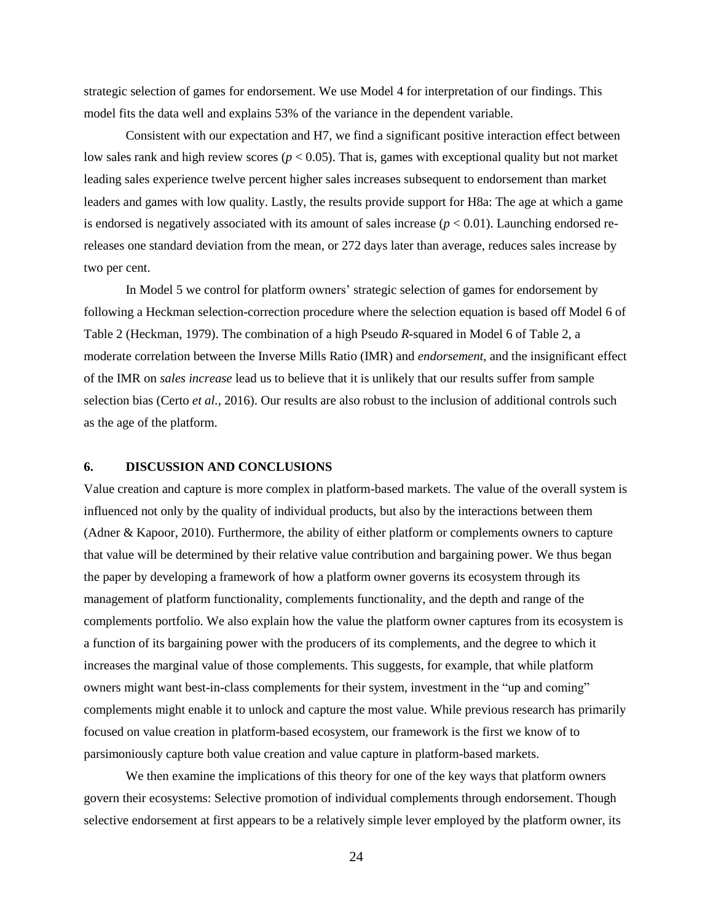strategic selection of games for endorsement. We use Model 4 for interpretation of our findings. This model fits the data well and explains 53% of the variance in the dependent variable.

Consistent with our expectation and H7, we find a significant positive interaction effect between low sales rank and high review scores ( $p < 0.05$ ). That is, games with exceptional quality but not market leading sales experience twelve percent higher sales increases subsequent to endorsement than market leaders and games with low quality. Lastly, the results provide support for H8a: The age at which a game is endorsed is negatively associated with its amount of sales increase  $(p < 0.01)$ . Launching endorsed rereleases one standard deviation from the mean, or 272 days later than average, reduces sales increase by two per cent.

In Model 5 we control for platform owners' strategic selection of games for endorsement by following a Heckman selection-correction procedure where the selection equation is based off Model 6 of Table 2 (Heckman, 1979). The combination of a high Pseudo *R-*squared in Model 6 of Table 2, a moderate correlation between the Inverse Mills Ratio (IMR) and *endorsement*, and the insignificant effect of the IMR on *sales increase* lead us to believe that it is unlikely that our results suffer from sample selection bias (Certo *et al.*, 2016). Our results are also robust to the inclusion of additional controls such as the age of the platform.

#### **6. DISCUSSION AND CONCLUSIONS**

Value creation and capture is more complex in platform-based markets. The value of the overall system is influenced not only by the quality of individual products, but also by the interactions between them (Adner & Kapoor, 2010). Furthermore, the ability of either platform or complements owners to capture that value will be determined by their relative value contribution and bargaining power. We thus began the paper by developing a framework of how a platform owner governs its ecosystem through its management of platform functionality, complements functionality, and the depth and range of the complements portfolio. We also explain how the value the platform owner captures from its ecosystem is a function of its bargaining power with the producers of its complements, and the degree to which it increases the marginal value of those complements. This suggests, for example, that while platform owners might want best-in-class complements for their system, investment in the "up and coming" complements might enable it to unlock and capture the most value. While previous research has primarily focused on value creation in platform-based ecosystem, our framework is the first we know of to parsimoniously capture both value creation and value capture in platform-based markets.

We then examine the implications of this theory for one of the key ways that platform owners govern their ecosystems: Selective promotion of individual complements through endorsement. Though selective endorsement at first appears to be a relatively simple lever employed by the platform owner, its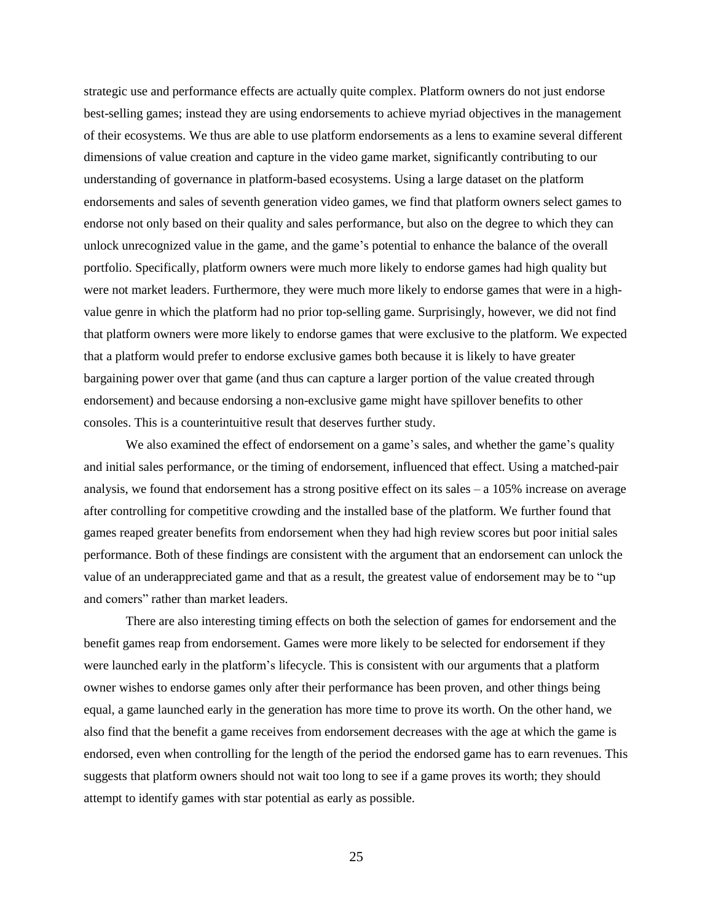strategic use and performance effects are actually quite complex. Platform owners do not just endorse best-selling games; instead they are using endorsements to achieve myriad objectives in the management of their ecosystems. We thus are able to use platform endorsements as a lens to examine several different dimensions of value creation and capture in the video game market, significantly contributing to our understanding of governance in platform-based ecosystems. Using a large dataset on the platform endorsements and sales of seventh generation video games, we find that platform owners select games to endorse not only based on their quality and sales performance, but also on the degree to which they can unlock unrecognized value in the game, and the game's potential to enhance the balance of the overall portfolio. Specifically, platform owners were much more likely to endorse games had high quality but were not market leaders. Furthermore, they were much more likely to endorse games that were in a highvalue genre in which the platform had no prior top-selling game. Surprisingly, however, we did not find that platform owners were more likely to endorse games that were exclusive to the platform. We expected that a platform would prefer to endorse exclusive games both because it is likely to have greater bargaining power over that game (and thus can capture a larger portion of the value created through endorsement) and because endorsing a non-exclusive game might have spillover benefits to other consoles. This is a counterintuitive result that deserves further study.

We also examined the effect of endorsement on a game's sales, and whether the game's quality and initial sales performance, or the timing of endorsement, influenced that effect. Using a matched-pair analysis, we found that endorsement has a strong positive effect on its sales  $-$  a 105% increase on average after controlling for competitive crowding and the installed base of the platform. We further found that games reaped greater benefits from endorsement when they had high review scores but poor initial sales performance. Both of these findings are consistent with the argument that an endorsement can unlock the value of an underappreciated game and that as a result, the greatest value of endorsement may be to "up and comers" rather than market leaders.

There are also interesting timing effects on both the selection of games for endorsement and the benefit games reap from endorsement. Games were more likely to be selected for endorsement if they were launched early in the platform's lifecycle. This is consistent with our arguments that a platform owner wishes to endorse games only after their performance has been proven, and other things being equal, a game launched early in the generation has more time to prove its worth. On the other hand, we also find that the benefit a game receives from endorsement decreases with the age at which the game is endorsed, even when controlling for the length of the period the endorsed game has to earn revenues. This suggests that platform owners should not wait too long to see if a game proves its worth; they should attempt to identify games with star potential as early as possible.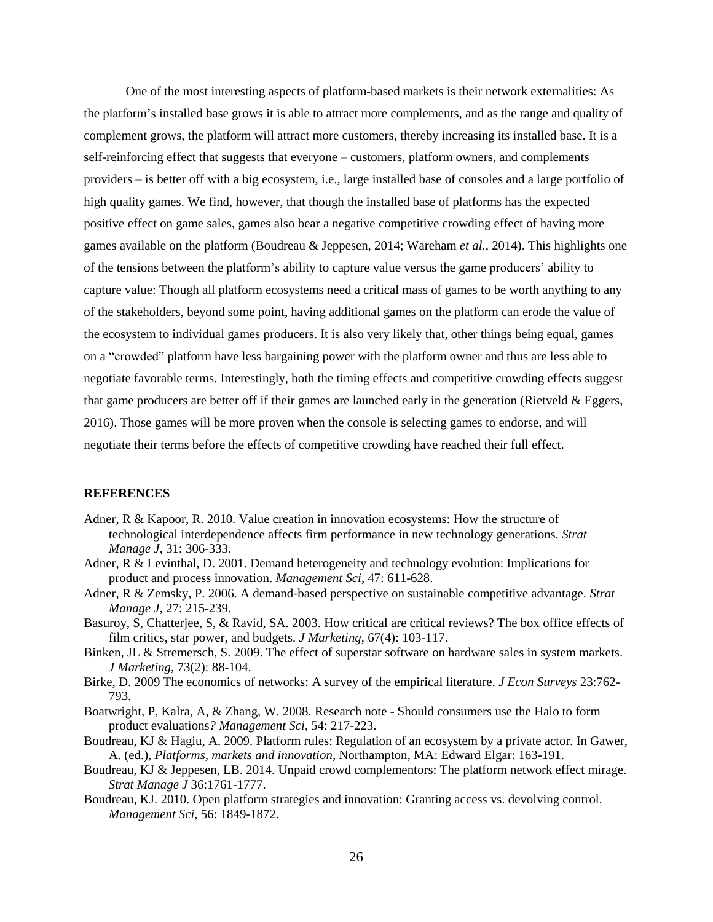One of the most interesting aspects of platform-based markets is their network externalities: As the platform's installed base grows it is able to attract more complements, and as the range and quality of complement grows, the platform will attract more customers, thereby increasing its installed base. It is a self-reinforcing effect that suggests that everyone – customers, platform owners, and complements providers – is better off with a big ecosystem, i.e., large installed base of consoles and a large portfolio of high quality games. We find, however, that though the installed base of platforms has the expected positive effect on game sales, games also bear a negative competitive crowding effect of having more games available on the platform (Boudreau & Jeppesen, 2014; Wareham *et al.*, 2014). This highlights one of the tensions between the platform's ability to capture value versus the game producers' ability to capture value: Though all platform ecosystems need a critical mass of games to be worth anything to any of the stakeholders, beyond some point, having additional games on the platform can erode the value of the ecosystem to individual games producers. It is also very likely that, other things being equal, games on a "crowded" platform have less bargaining power with the platform owner and thus are less able to negotiate favorable terms. Interestingly, both the timing effects and competitive crowding effects suggest that game producers are better off if their games are launched early in the generation (Rietveld & Eggers, 2016). Those games will be more proven when the console is selecting games to endorse, and will negotiate their terms before the effects of competitive crowding have reached their full effect.

### **REFERENCES**

- Adner, R & Kapoor, R. 2010. Value creation in innovation ecosystems: How the structure of technological interdependence affects firm performance in new technology generations. *Strat Manage J*, 31: 306-333.
- Adner, R & Levinthal, D. 2001. Demand heterogeneity and technology evolution: Implications for product and process innovation. *Management Sci*, 47: 611-628.
- Adner, R & Zemsky, P. 2006. A demand‐based perspective on sustainable competitive advantage. *Strat Manage J*, 27: 215-239.
- Basuroy, S, Chatterjee, S, & Ravid, SA. 2003. How critical are critical reviews? The box office effects of film critics, star power, and budgets. *J Marketing*, 67(4): 103-117.
- Binken, JL & Stremersch, S. 2009. The effect of superstar software on hardware sales in system markets. *J Marketing*, 73(2): 88-104.
- Birke, D. 2009 The economics of networks: A survey of the empirical literature. *J Econ Surveys* 23:762- 793.
- Boatwright, P, Kalra, A, & Zhang, W. 2008. Research note Should consumers use the Halo to form product evaluations*? Management Sci*, 54: 217-223.
- Boudreau, KJ & Hagiu, A. 2009. Platform rules: Regulation of an ecosystem by a private actor*.* In Gawer, A. (ed.), *Platforms, markets and innovation*, Northampton, MA: Edward Elgar: 163-191.
- Boudreau, KJ & Jeppesen, LB. 2014. Unpaid crowd complementors: The platform network effect mirage. *Strat Manage J* 36:1761-1777.
- Boudreau, KJ. 2010. Open platform strategies and innovation: Granting access vs. devolving control. *Management Sci*, 56: 1849-1872.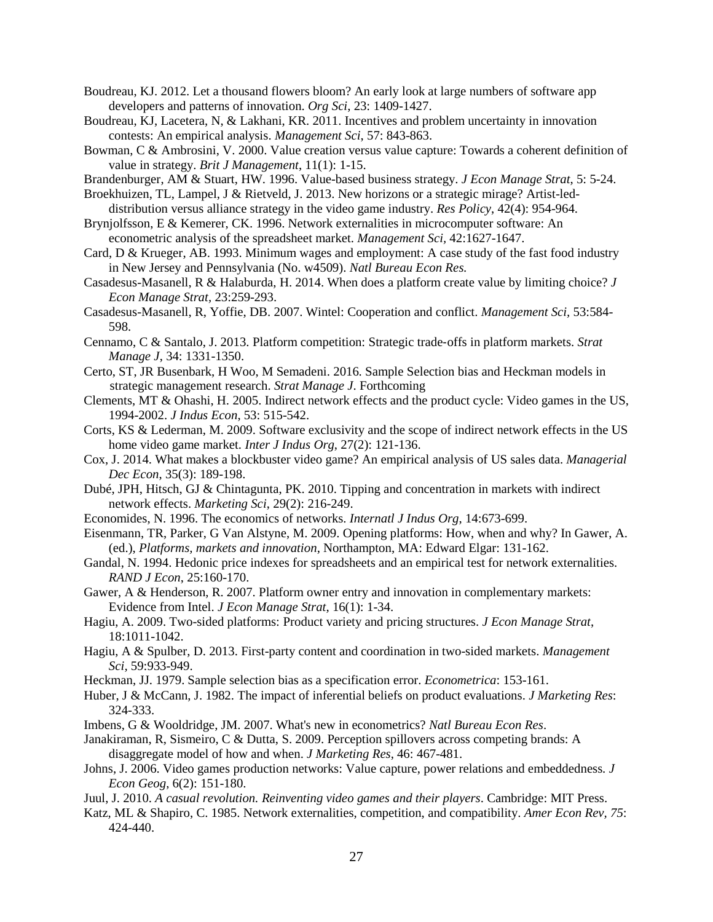- Boudreau, KJ. 2012. Let a thousand flowers bloom? An early look at large numbers of software app developers and patterns of innovation. *Org Sci*, 23: 1409-1427.
- Boudreau, KJ, Lacetera, N, & Lakhani, KR. 2011. Incentives and problem uncertainty in innovation contests: An empirical analysis. *Management Sci*, 57: 843-863.
- Bowman, C & Ambrosini, V. 2000. Value creation versus value capture: Towards a coherent definition of value in strategy. *Brit J Management*, 11(1): 1-15.
- Brandenburger, AM & Stuart, HW. 1996. Value-based business strategy. *J Econ Manage Strat*, 5: 5-24.
- Broekhuizen, TL, Lampel, J & Rietveld, J. 2013. New horizons or a strategic mirage? Artist-leddistribution versus alliance strategy in the video game industry. *Res Policy*, 42(4): 954-964.
- Brynjolfsson, E & Kemerer, CK. 1996. Network externalities in microcomputer software: An econometric analysis of the spreadsheet market. *Management Sci,* 42:1627-1647.
- Card, D & Krueger, AB. 1993. Minimum wages and employment: A case study of the fast food industry in New Jersey and Pennsylvania (No. w4509). *Natl Bureau Econ Res.*
- Casadesus-Masanell, R & Halaburda, H. 2014. When does a platform create value by limiting choice? *J Econ Manage Strat,* 23:259-293.
- Casadesus-Masanell, R, Yoffie, DB. 2007. Wintel: Cooperation and conflict. *Management Sci,* 53:584- 598.
- Cennamo, C & Santalo, J. 2013. Platform competition: Strategic trade‐offs in platform markets. *Strat Manage J*, 34: 1331-1350.
- Certo, ST, JR Busenbark, H Woo, M Semadeni. 2016. Sample Selection bias and Heckman models in strategic management research. *Strat Manage J*. Forthcoming
- Clements, MT & Ohashi, H. 2005. Indirect network effects and the product cycle: Video games in the US, 1994-2002. *J Indus Econ*, 53: 515-542.
- Corts, KS & Lederman, M. 2009. Software exclusivity and the scope of indirect network effects in the US home video game market. *Inter J Indus Org*, 27(2): 121-136.
- Cox, J. 2014. What makes a blockbuster video game? An empirical analysis of US sales data. *Managerial Dec Econ*, 35(3): 189-198.
- Dubé, JPH, Hitsch, GJ & Chintagunta, PK. 2010. Tipping and concentration in markets with indirect network effects. *Marketing Sci*, 29(2): 216-249.
- Economides, N. 1996. The economics of networks. *Internatl J Indus Org*, 14:673-699.
- Eisenmann, TR, Parker, G Van Alstyne, M. 2009. Opening platforms: How, when and why? In Gawer, A. (ed.), *Platforms, markets and innovation*, Northampton, MA: Edward Elgar: 131-162.
- Gandal, N. 1994. Hedonic price indexes for spreadsheets and an empirical test for network externalities. *RAND J Econ*, 25:160-170.
- Gawer, A & Henderson, R. 2007. Platform owner entry and innovation in complementary markets: Evidence from Intel. *J Econ Manage Strat*, 16(1): 1-34.
- Hagiu, A. 2009. Two-sided platforms: Product variety and pricing structures. *J Econ Manage Strat*, 18:1011-1042.
- Hagiu, A & Spulber, D. 2013. First-party content and coordination in two-sided markets. *Management Sci,* 59:933-949.
- Heckman, JJ. 1979. Sample selection bias as a specification error. *Econometrica*: 153-161.
- Huber, J & McCann, J. 1982. The impact of inferential beliefs on product evaluations. *J Marketing Res*: 324-333.
- Imbens, G & Wooldridge, JM. 2007. What's new in econometrics? *Natl Bureau Econ Res*.
- Janakiraman, R, Sismeiro, C & Dutta, S. 2009. Perception spillovers across competing brands: A disaggregate model of how and when. *J Marketing Res*, 46: 467-481.
- Johns, J. 2006. Video games production networks: Value capture, power relations and embeddedness*. J Econ Geog*, 6(2): 151-180.
- Juul, J. 2010. *A casual revolution. Reinventing video games and their players*. Cambridge: MIT Press.
- Katz, ML & Shapiro, C. 1985. Network externalities, competition, and compatibility. *Amer Econ Rev, 75*: 424-440.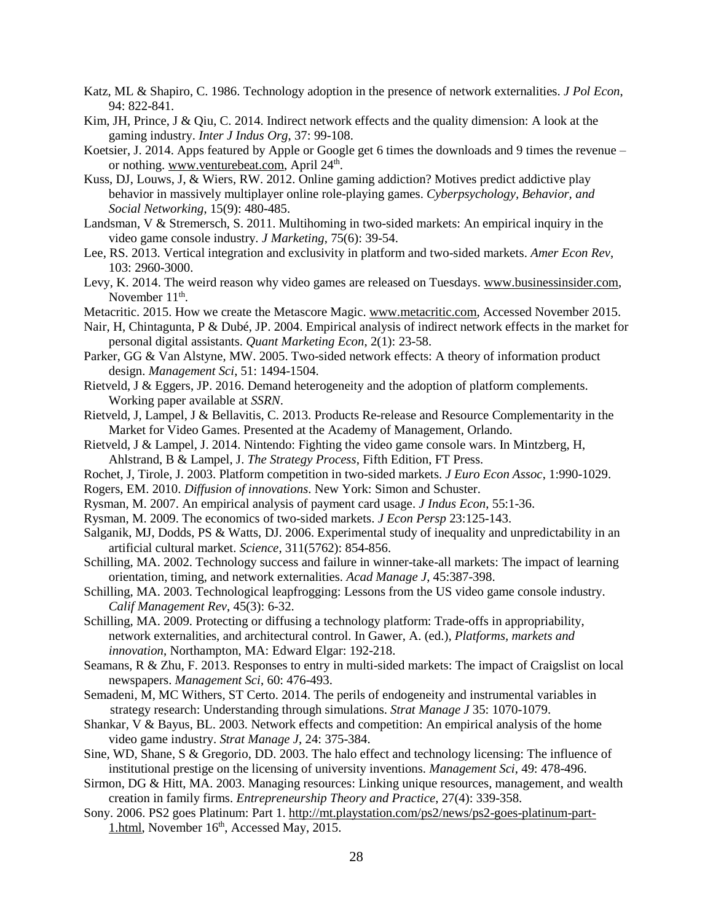- Katz, ML & Shapiro, C. 1986. Technology adoption in the presence of network externalities. *J Pol Econ*, 94: 822-841.
- Kim, JH, Prince, J & Qiu, C. 2014. Indirect network effects and the quality dimension: A look at the gaming industry. *Inter J Indus Org*, 37: 99-108.
- Koetsier, J. 2014. Apps featured by Apple or Google get 6 times the downloads and 9 times the revenue or nothing. [www.venturebeat.com,](http://www.venturebeat.com/) April 24<sup>th</sup>.
- Kuss, DJ, Louws, J, & Wiers, RW. 2012. Online gaming addiction? Motives predict addictive play behavior in massively multiplayer online role-playing games. *Cyberpsychology, Behavior, and Social Networking*, 15(9): 480-485.
- Landsman, V & Stremersch, S. 2011. Multihoming in two-sided markets: An empirical inquiry in the video game console industry*. J Marketing*, 75(6): 39-54.
- Lee, RS. 2013. Vertical integration and exclusivity in platform and two-sided markets. *Amer Econ Rev*, 103: 2960-3000.
- Levy, K. 2014. The weird reason why video games are released on Tuesdays. [www.businessinsider.com,](http://www.businessinsider.com/) November  $11<sup>th</sup>$ .
- Metacritic. 2015. How we create the Metascore Magic. [www.metacritic.com,](http://www.metacritic.com/) Accessed November 2015.
- Nair, H, Chintagunta, P & Dubé, JP. 2004. Empirical analysis of indirect network effects in the market for personal digital assistants. *Quant Marketing Econ*, 2(1): 23-58.
- Parker, GG & Van Alstyne, MW. 2005. Two-sided network effects: A theory of information product design. *Management Sci*, 51: 1494-1504.
- Rietveld, J & Eggers, JP. 2016. Demand heterogeneity and the adoption of platform complements. Working paper available at *SSRN*.
- Rietveld, J, Lampel, J & Bellavitis, C. 2013. Products Re-release and Resource Complementarity in the Market for Video Games. Presented at the Academy of Management, Orlando.
- Rietveld, J & Lampel, J. 2014. Nintendo: Fighting the video game console wars. In Mintzberg, H, Ahlstrand, B & Lampel, J. *The Strategy Process*, Fifth Edition, FT Press.
- Rochet, J, Tirole, J. 2003. Platform competition in two-sided markets. *J Euro Econ Assoc*, 1:990-1029.
- Rogers, EM. 2010. *Diffusion of innovations*. New York: Simon and Schuster.
- Rysman, M. 2007. An empirical analysis of payment card usage. *J Indus Econ*, 55:1-36.
- Rysman, M. 2009. The economics of two-sided markets. *J Econ Persp* 23:125-143.
- Salganik, MJ, Dodds, PS & Watts, DJ. 2006. Experimental study of inequality and unpredictability in an artificial cultural market. *Science*, 311(5762): 854-856.
- Schilling, MA. 2002. Technology success and failure in winner-take-all markets: The impact of learning orientation, timing, and network externalities. *Acad Manage J*, 45:387-398.
- Schilling, MA. 2003. Technological leapfrogging: Lessons from the US video game console industry. *Calif Management Rev*, 45(3): 6-32.
- Schilling, MA. 2009. Protecting or diffusing a technology platform: Trade-offs in appropriability, network externalities, and architectural control. In Gawer, A. (ed.), *Platforms, markets and innovation*, Northampton, MA: Edward Elgar: 192-218.
- Seamans, R & Zhu, F. 2013. Responses to entry in multi-sided markets: The impact of Craigslist on local newspapers. *Management Sci*, 60: 476-493.
- Semadeni, M, MC Withers, ST Certo. 2014. The perils of endogeneity and instrumental variables in strategy research: Understanding through simulations. *Strat Manage J* 35: 1070-1079.
- Shankar, V & Bayus, BL. 2003. Network effects and competition: An empirical analysis of the home video game industry. *Strat Manage J*, 24: 375-384.
- Sine, WD, Shane, S & Gregorio, DD. 2003. The halo effect and technology licensing: The influence of institutional prestige on the licensing of university inventions. *Management Sci*, 49: 478-496.
- Sirmon, DG & Hitt, MA. 2003. Managing resources: Linking unique resources, management, and wealth creation in family firms. *Entrepreneurship Theory and Practice*, 27(4): 339-358.
- Sony. 2006. PS2 goes Platinum: Part 1. [http://mt.playstation.com/ps2/news/ps2-goes-platinum-part-](http://mt.playstation.com/ps2/news/ps2-goes-platinum-part-1.html)[1.html,](http://mt.playstation.com/ps2/news/ps2-goes-platinum-part-1.html) November 16<sup>th</sup>, Accessed May, 2015.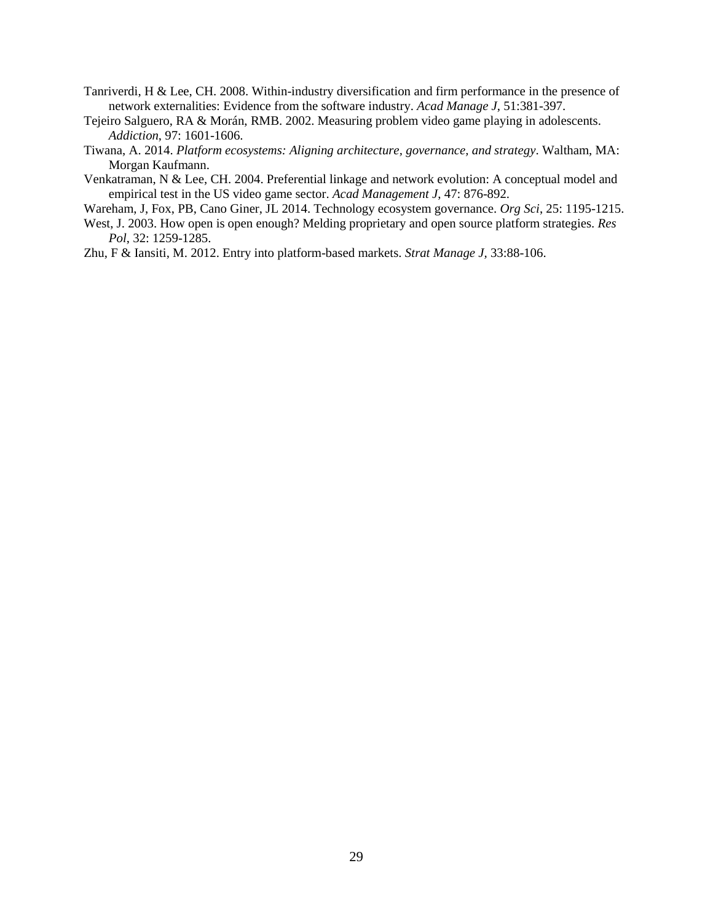- Tanriverdi, H & Lee, CH. 2008. Within-industry diversification and firm performance in the presence of network externalities: Evidence from the software industry. *Acad Manage J*, 51:381-397.
- Tejeiro Salguero, RA & Morán, RMB. 2002. Measuring problem video game playing in adolescents. *Addiction*, 97: 1601-1606.
- Tiwana, A. 2014. *Platform ecosystems: Aligning architecture, governance, and strategy*. Waltham, MA: Morgan Kaufmann.
- Venkatraman, N & Lee, CH. 2004. Preferential linkage and network evolution: A conceptual model and empirical test in the US video game sector. *Acad Management J*, 47: 876-892.
- Wareham, J, Fox, PB, Cano Giner, JL 2014. Technology ecosystem governance. *Org Sci*, 25: 1195-1215.
- West, J. 2003. How open is open enough? Melding proprietary and open source platform strategies. *Res Pol*, 32: 1259-1285.
- Zhu, F & Iansiti, M. 2012. Entry into platform-based markets. *Strat Manage J,* 33:88-106.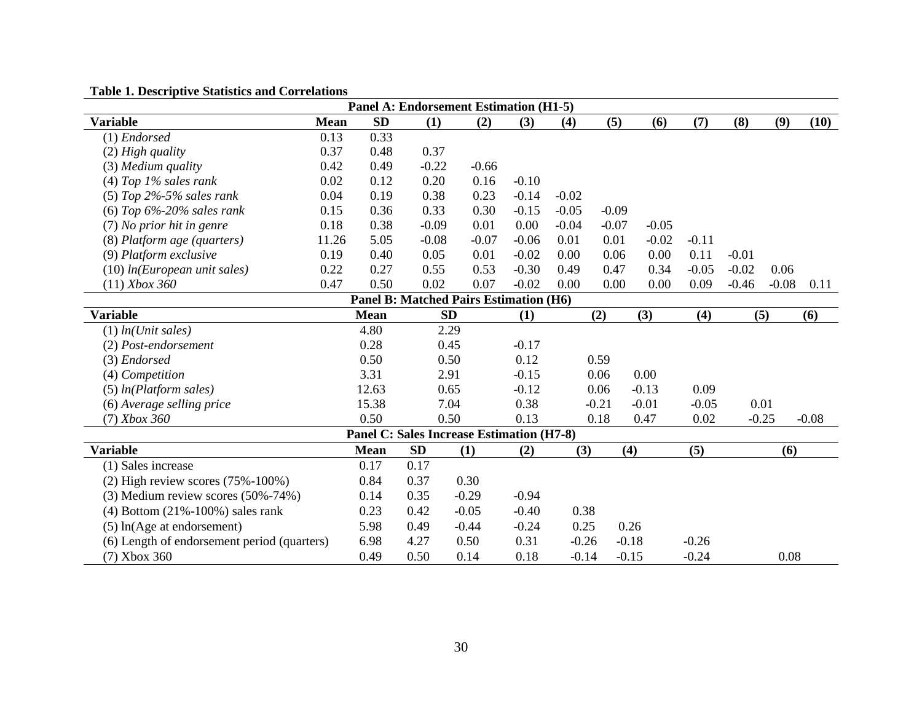| <b>Panel A: Endorsement Estimation (H1-5)</b>    |             |             |           |           |         |         |         |         |         |         |         |         |         |
|--------------------------------------------------|-------------|-------------|-----------|-----------|---------|---------|---------|---------|---------|---------|---------|---------|---------|
| <b>Variable</b>                                  | <b>Mean</b> | <b>SD</b>   | (1)       |           | (2)     | (3)     | (4)     | (5)     | (6)     | (7)     | (8)     | (9)     | (10)    |
| $(1)$ Endorsed                                   | 0.13        | 0.33        |           |           |         |         |         |         |         |         |         |         |         |
| $(2)$ High quality                               | 0.37        | 0.48        | 0.37      |           |         |         |         |         |         |         |         |         |         |
| (3) Medium quality                               | 0.42        | 0.49        | $-0.22$   |           | $-0.66$ |         |         |         |         |         |         |         |         |
| $(4)$ Top 1% sales rank                          | 0.02        | 0.12        | 0.20      |           | 0.16    | $-0.10$ |         |         |         |         |         |         |         |
| $(5)$ Top 2%-5% sales rank                       | 0.04        | 0.19        | 0.38      |           | 0.23    | $-0.14$ | $-0.02$ |         |         |         |         |         |         |
| (6) Top $6\% - 20\%$ sales rank                  | 0.15        | 0.36        | 0.33      |           | 0.30    | $-0.15$ | $-0.05$ | $-0.09$ |         |         |         |         |         |
| (7) No prior hit in genre                        | 0.18        | 0.38        | $-0.09$   | 0.01      |         | 0.00    | $-0.04$ | $-0.07$ | $-0.05$ |         |         |         |         |
| (8) Platform age (quarters)                      | 11.26       | 5.05        | $-0.08$   | $-0.07$   |         | $-0.06$ | 0.01    | 0.01    | $-0.02$ | $-0.11$ |         |         |         |
| (9) Platform exclusive                           | 0.19        | 0.40        | 0.05      | 0.01      |         | $-0.02$ | 0.00    | 0.06    | 0.00    | 0.11    | $-0.01$ |         |         |
| $(10)$ ln(European unit sales)                   | 0.22        | 0.27        | 0.55      |           | 0.53    | $-0.30$ | 0.49    | 0.47    | 0.34    | $-0.05$ | $-0.02$ | 0.06    |         |
| $(11)$ Xbox 360                                  | 0.47        | 0.50        | 0.02      |           | 0.07    | $-0.02$ | 0.00    | 0.00    | 0.00    | 0.09    | $-0.46$ | $-0.08$ | 0.11    |
| <b>Panel B: Matched Pairs Estimation (H6)</b>    |             |             |           |           |         |         |         |         |         |         |         |         |         |
| <b>Variable</b>                                  |             | <b>Mean</b> |           | <b>SD</b> |         | (1)     |         | (2)     | (3)     | (4)     |         | (5)     | (6)     |
| $(1)$ ln(Unit sales)                             |             | 4.80        |           | 2.29      |         |         |         |         |         |         |         |         |         |
| (2) Post-endorsement                             |             | 0.28        |           | 0.45      |         | $-0.17$ |         |         |         |         |         |         |         |
| (3) Endorsed                                     |             | 0.50        |           | 0.50      |         | 0.12    |         | 0.59    |         |         |         |         |         |
| (4) Competition                                  |             | 3.31        |           | 2.91      |         | $-0.15$ |         | 0.06    | 0.00    |         |         |         |         |
| $(5)$ ln(Platform sales)                         |             | 12.63       |           | 0.65      |         | $-0.12$ |         | 0.06    | $-0.13$ | 0.09    |         |         |         |
| (6) Average selling price                        |             | 15.38       |           | 7.04      |         | 0.38    |         | $-0.21$ | $-0.01$ | $-0.05$ |         | 0.01    |         |
| $(7)$ Xbox 360                                   |             | 0.50        |           | 0.50      |         | 0.13    |         | 0.18    | 0.47    | 0.02    |         | $-0.25$ | $-0.08$ |
| <b>Panel C: Sales Increase Estimation (H7-8)</b> |             |             |           |           |         |         |         |         |         |         |         |         |         |
| <b>Variable</b>                                  |             | <b>Mean</b> | <b>SD</b> | (1)       |         | (2)     | (3)     |         | (4)     | (5)     |         | (6)     |         |
| (1) Sales increase                               |             | 0.17        | 0.17      |           |         |         |         |         |         |         |         |         |         |
| $(2)$ High review scores $(75\% - 100\%)$        |             | 0.84        | 0.37      | 0.30      |         |         |         |         |         |         |         |         |         |
| $(3)$ Medium review scores $(50\% - 74\%)$       |             | 0.14        | 0.35      | $-0.29$   |         | $-0.94$ |         |         |         |         |         |         |         |
| $(4)$ Bottom $(21\% - 100\%)$ sales rank         |             | 0.23        | 0.42      | $-0.05$   |         | $-0.40$ | 0.38    |         |         |         |         |         |         |
| $(5)$ ln(Age at endorsement)                     |             | 5.98        | 0.49      | $-0.44$   |         | $-0.24$ | 0.25    |         | 0.26    |         |         |         |         |
| (6) Length of endorsement period (quarters)      |             | 6.98        | 4.27      | 0.50      |         | 0.31    | $-0.26$ |         | $-0.18$ | $-0.26$ |         |         |         |
| $(7)$ Xbox 360                                   |             | 0.49        | 0.50      | 0.14      |         | 0.18    | $-0.14$ |         | $-0.15$ | $-0.24$ |         | 0.08    |         |

# **Table 1. Descriptive Statistics and Correlations**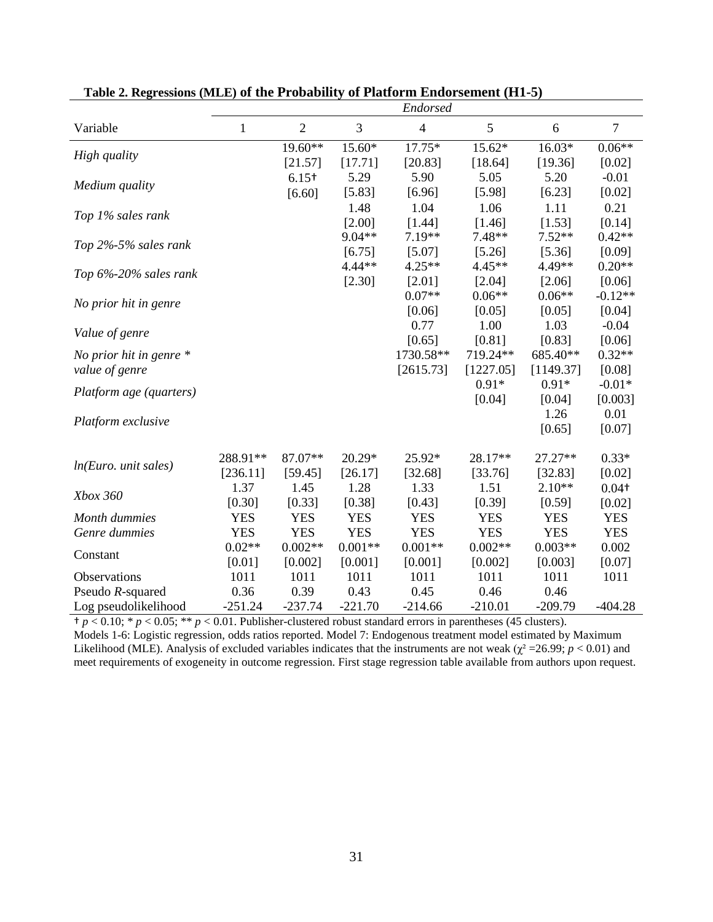|                           |            |                |            | Endorsed       |            |            |                   |
|---------------------------|------------|----------------|------------|----------------|------------|------------|-------------------|
| Variable                  | 1          | $\overline{2}$ | 3          | $\overline{4}$ | 5          | 6          | $\overline{7}$    |
| High quality              |            | 19.60**        | 15.60*     | $17.75*$       | 15.62*     | $16.03*$   | $0.06**$          |
|                           |            | [21.57]        | [17.71]    | [20.83]        | [18.64]    | [19.36]    | [0.02]            |
| Medium quality            |            | $6.15+$        | 5.29       | 5.90           | 5.05       | 5.20       | $-0.01$           |
|                           |            | [6.60]         | [5.83]     | [6.96]         | [5.98]     | [6.23]     | [0.02]            |
| Top 1% sales rank         |            |                | 1.48       | 1.04           | 1.06       | 1.11       | 0.21              |
|                           |            |                | [2.00]     | [1.44]         | [1.46]     | [1.53]     | [0.14]            |
| Top 2%-5% sales rank      |            |                | 9.04**     | 7.19**         | 7.48**     | $7.52**$   | $0.42**$          |
|                           |            |                | [6.75]     | [5.07]         | [5.26]     | [5.36]     | [0.09]            |
| Top 6%-20% sales rank     |            |                | $4.44**$   | $4.25**$       | $4.45**$   | 4.49**     | $0.20**$          |
|                           |            |                | [2.30]     | $[2.01]$       | [2.04]     | [2.06]     | [0.06]            |
| No prior hit in genre     |            |                |            | $0.07**$       | $0.06**$   | $0.06**$   | $-0.12**$         |
|                           |            |                |            | [0.06]         | [0.05]     | [0.05]     | [0.04]            |
| Value of genre            |            |                |            | 0.77           | 1.00       | 1.03       | $-0.04$           |
|                           |            |                |            | [0.65]         | [0.81]     | [0.83]     | [0.06]            |
| No prior hit in genre $*$ |            |                |            | 1730.58**      | 719.24**   | 685.40**   | $0.32**$          |
| value of genre            |            |                |            | [2615.73]      | [1227.05]  | [1149.37]  | [0.08]            |
| Platform age (quarters)   |            |                |            |                | $0.91*$    | $0.91*$    | $-0.01*$          |
|                           |            |                |            |                | [0.04]     | [0.04]     | [0.003]           |
| Platform exclusive        |            |                |            |                |            | 1.26       | 0.01              |
|                           |            |                |            |                |            | [0.65]     | [0.07]            |
|                           | 288.91**   | 87.07**        | $20.29*$   | 25.92*         | 28.17**    | 27.27**    | $0.33*$           |
| ln(Euro. unit sales)      | [236.11]   | [59.45]        | [26.17]    | [32.68]        | [33.76]    | [32.83]    | [0.02]            |
|                           | 1.37       | 1.45           | 1.28       | 1.33           | 1.51       | $2.10**$   | 0.04 <sup>†</sup> |
| Xbox 360                  | [0.30]     | [0.33]         | [0.38]     | [0.43]         | [0.39]     | [0.59]     | [0.02]            |
| Month dummies             | <b>YES</b> | <b>YES</b>     | <b>YES</b> | <b>YES</b>     | <b>YES</b> | <b>YES</b> | <b>YES</b>        |
| Genre dummies             | <b>YES</b> | <b>YES</b>     | <b>YES</b> | <b>YES</b>     | <b>YES</b> | <b>YES</b> | <b>YES</b>        |
| Constant                  | $0.02**$   | $0.002**$      | $0.001**$  | $0.001**$      | $0.002**$  | $0.003**$  | 0.002             |
|                           | [0.01]     | [0.002]        | [0.001]    | [0.001]        | [0.002]    | [0.003]    | [0.07]            |
| Observations              | 1011       | 1011           | 1011       | 1011           | 1011       | 1011       | 1011              |
| Pseudo R-squared          | 0.36       | 0.39           | 0.43       | 0.45           | 0.46       | 0.46       |                   |
| Log pseudolikelihood      | $-251.24$  | $-237.74$      | $-221.70$  | $-214.66$      | $-210.01$  | $-209.79$  | $-404.28$         |

# **Table 2. Regressions (MLE) of the Probability of Platform Endorsement (H1-5)**

† *p* < 0.10; \* *p* < 0.05; \*\* *p* < 0.01. Publisher-clustered robust standard errors in parentheses (45 clusters).

Models 1-6: Logistic regression, odds ratios reported. Model 7: Endogenous treatment model estimated by Maximum Likelihood (MLE). Analysis of excluded variables indicates that the instruments are not weak ( $\chi^2$  =26.99; *p* < 0.01) and meet requirements of exogeneity in outcome regression. First stage regression table available from authors upon request.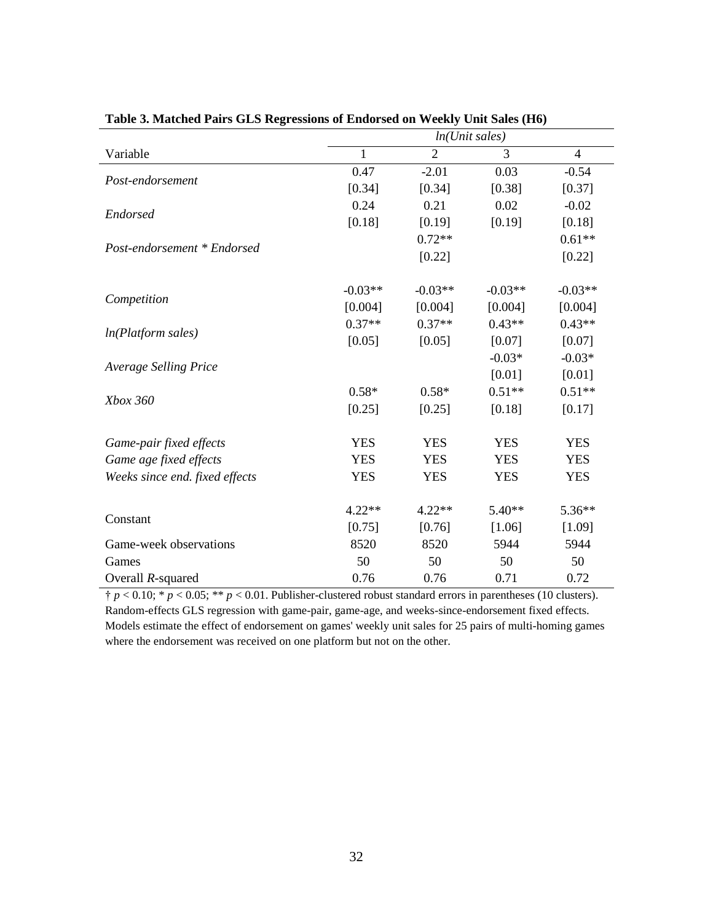|                                | $ln(U$ nit sales) |                |            |                |  |  |  |
|--------------------------------|-------------------|----------------|------------|----------------|--|--|--|
| Variable                       | 1                 | $\overline{2}$ | 3          | $\overline{4}$ |  |  |  |
|                                | 0.47              | $-2.01$        | 0.03       | $-0.54$        |  |  |  |
| Post-endorsement               | [0.34]            | [0.34]         | [0.38]     | [0.37]         |  |  |  |
|                                | 0.24              | 0.21           | 0.02       | $-0.02$        |  |  |  |
| Endorsed                       | [0.18]            | [0.19]         | [0.19]     | [0.18]         |  |  |  |
| Post-endorsement * Endorsed    |                   | $0.72**$       |            | $0.61**$       |  |  |  |
|                                |                   | [0.22]         |            | [0.22]         |  |  |  |
|                                | $-0.03**$         | $-0.03**$      | $-0.03**$  | $-0.03**$      |  |  |  |
| Competition                    | [0.004]           | [0.004]        | [0.004]    | [0.004]        |  |  |  |
|                                | $0.37**$          | $0.37**$       | $0.43**$   | $0.43**$       |  |  |  |
| ln(Platform sales)             | [0.05]            | [0.05]         | [0.07]     | [0.07]         |  |  |  |
|                                |                   |                | $-0.03*$   | $-0.03*$       |  |  |  |
| <b>Average Selling Price</b>   |                   |                | [0.01]     | [0.01]         |  |  |  |
|                                | $0.58*$           | $0.58*$        | $0.51**$   | $0.51**$       |  |  |  |
| Xbox 360                       | [0.25]            | [0.25]         | [0.18]     | [0.17]         |  |  |  |
| Game-pair fixed effects        | <b>YES</b>        | <b>YES</b>     | <b>YES</b> | <b>YES</b>     |  |  |  |
| Game age fixed effects         | <b>YES</b>        | <b>YES</b>     | <b>YES</b> | <b>YES</b>     |  |  |  |
| Weeks since end. fixed effects | <b>YES</b>        | <b>YES</b>     | <b>YES</b> | <b>YES</b>     |  |  |  |
|                                | $4.22**$          | $4.22**$       | $5.40**$   | $5.36**$       |  |  |  |
| Constant                       | [0.75]            | [0.76]         | [1.06]     | [1.09]         |  |  |  |
| Game-week observations         | 8520              | 8520           | 5944       | 5944           |  |  |  |
| Games                          | 50                | 50             | 50         | 50             |  |  |  |
| Overall $R$ -squared           | 0.76              | 0.76           | 0.71       | 0.72           |  |  |  |

| Table 3. Matched Pairs GLS Regressions of Endorsed on Weekly Unit Sales (H6) |  |
|------------------------------------------------------------------------------|--|

 $\uparrow p < 0.10$ ; \*  $p < 0.05$ ; \*\*  $p < 0.01$ . Publisher-clustered robust standard errors in parentheses (10 clusters). Random-effects GLS regression with game-pair, game-age, and weeks-since-endorsement fixed effects. Models estimate the effect of endorsement on games' weekly unit sales for 25 pairs of multi-homing games where the endorsement was received on one platform but not on the other.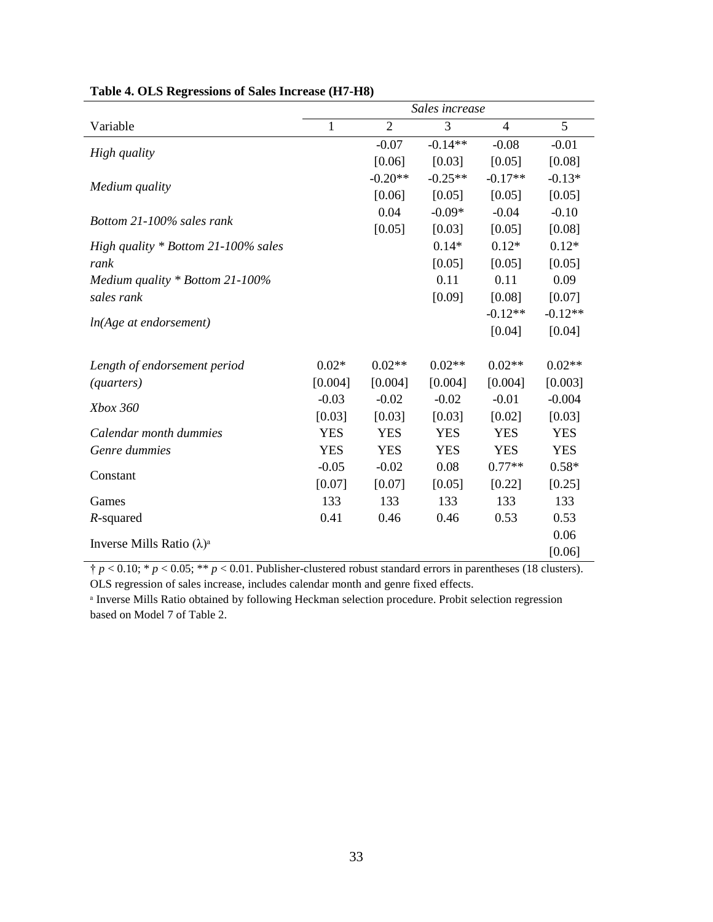|                                     | Sales increase |                |            |                |            |  |
|-------------------------------------|----------------|----------------|------------|----------------|------------|--|
| Variable                            | $\mathbf{1}$   | $\overline{2}$ | 3          | $\overline{4}$ | 5          |  |
|                                     |                | $-0.07$        | $-0.14**$  | $-0.08$        | $-0.01$    |  |
| High quality                        |                | [0.06]         | [0.03]     | [0.05]         | [0.08]     |  |
|                                     |                | $-0.20**$      | $-0.25**$  | $-0.17**$      | $-0.13*$   |  |
| Medium quality                      |                | [0.06]         | [0.05]     | [0.05]         | [0.05]     |  |
| Bottom 21-100% sales rank           |                | 0.04           | $-0.09*$   | $-0.04$        | $-0.10$    |  |
|                                     |                | [0.05]         | [0.03]     | [0.05]         | [0.08]     |  |
| High quality * Bottom 21-100% sales |                |                | $0.14*$    | $0.12*$        | $0.12*$    |  |
| rank                                |                |                | [0.05]     | [0.05]         | [0.05]     |  |
| Medium quality * Bottom 21-100%     |                |                | 0.11       | 0.11           | 0.09       |  |
| sales rank                          |                |                | [0.09]     | [0.08]         | [0.07]     |  |
| ln(Age at endorsement)              |                |                |            | $-0.12**$      | $-0.12**$  |  |
|                                     |                |                |            | [0.04]         | [0.04]     |  |
|                                     |                |                |            |                |            |  |
| Length of endorsement period        | $0.02*$        | $0.02**$       | $0.02**$   | $0.02**$       | $0.02**$   |  |
| <i>(quarters)</i>                   | [0.004]        | [0.004]        | [0.004]    | [0.004]        | [0.003]    |  |
| Xbox 360                            | $-0.03$        | $-0.02$        | $-0.02$    | $-0.01$        | $-0.004$   |  |
|                                     | [0.03]         | [0.03]         | [0.03]     | [0.02]         | [0.03]     |  |
| Calendar month dummies              | <b>YES</b>     | <b>YES</b>     | <b>YES</b> | <b>YES</b>     | <b>YES</b> |  |
| Genre dummies                       | <b>YES</b>     | <b>YES</b>     | <b>YES</b> | <b>YES</b>     | <b>YES</b> |  |
| Constant                            | $-0.05$        | $-0.02$        | 0.08       | $0.77**$       | $0.58*$    |  |
|                                     | [0.07]         | [0.07]         | [0.05]     | [0.22]         | [0.25]     |  |
| Games                               | 133            | 133            | 133        | 133            | 133        |  |
| $R$ -squared                        | 0.41           | 0.46           | 0.46       | 0.53           | 0.53       |  |
| Inverse Mills Ratio $(\lambda)^a$   |                |                |            |                | 0.06       |  |
|                                     |                |                |            |                | [0.06]     |  |

† *p* < 0.10; \* *p* < 0.05; \*\* *p* < 0.01. Publisher-clustered robust standard errors in parentheses (18 clusters). OLS regression of sales increase, includes calendar month and genre fixed effects.

<sup>a</sup> Inverse Mills Ratio obtained by following Heckman selection procedure. Probit selection regression based on Model 7 of Table 2.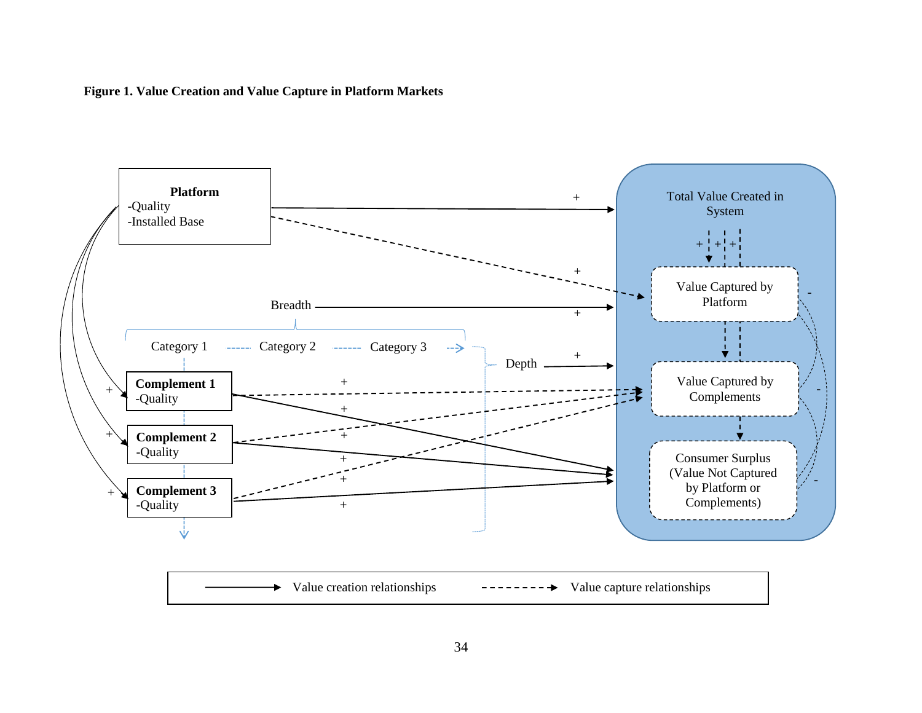### **Figure 1. Value Creation and Value Capture in Platform Markets**